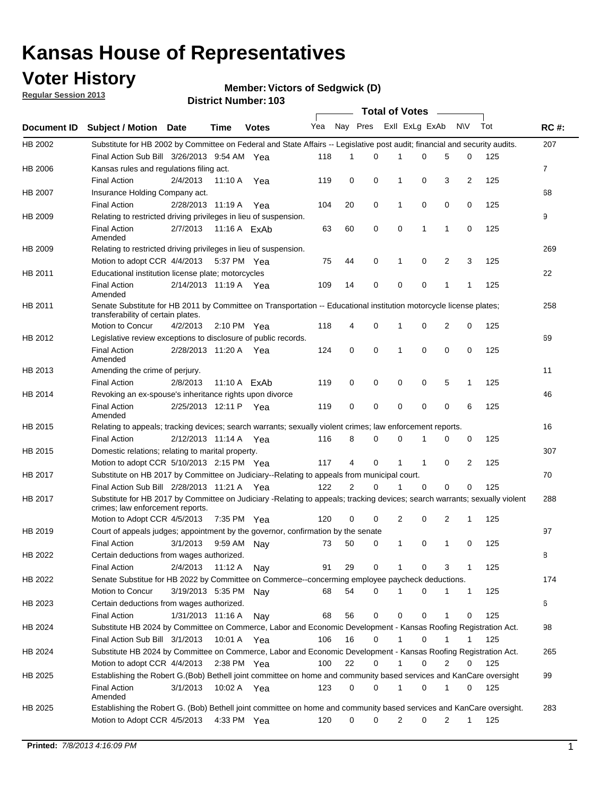## **Voter History**

**Member: Victors of Sedgwick (D)** 

**Regular Session 2013**

|                    |                                                                                                                            |                       |                       | טטו דיסעוווואנו זעוווסוע |              |    | Total of Votes – |              |                |                |                |     |                |
|--------------------|----------------------------------------------------------------------------------------------------------------------------|-----------------------|-----------------------|--------------------------|--------------|----|------------------|--------------|----------------|----------------|----------------|-----|----------------|
| <b>Document ID</b> | <b>Subject / Motion Date</b>                                                                                               |                       | Time                  | <b>Votes</b>             | Yea Nay Pres |    |                  |              | Exll ExLg ExAb |                | <b>NV</b>      | Tot | <b>RC#:</b>    |
| HB 2002            | Substitute for HB 2002 by Committee on Federal and State Affairs -- Legislative post audit; financial and security audits. |                       |                       |                          |              |    |                  |              |                |                |                |     | 207            |
|                    | Final Action Sub Bill 3/26/2013 9:54 AM Yea                                                                                |                       |                       |                          | 118          | 1  | $\Omega$         |              | 0              | 5              | 0              | 125 |                |
| HB 2006            | Kansas rules and regulations filing act.                                                                                   |                       |                       |                          |              |    |                  |              |                |                |                |     | $\overline{7}$ |
|                    | <b>Final Action</b>                                                                                                        | 2/4/2013              | 11:10 A Yea           |                          | 119          | 0  | 0                | 1            | 0              | 3              | $\overline{2}$ | 125 |                |
| HB 2007            | Insurance Holding Company act.                                                                                             |                       |                       |                          |              |    |                  |              |                |                |                |     | 68             |
|                    | <b>Final Action</b>                                                                                                        | 2/28/2013 11:19 A     |                       | Yea                      | 104          | 20 | 0                | 1            | 0              | 0              | 0              | 125 |                |
| HB 2009            | Relating to restricted driving privileges in lieu of suspension.                                                           |                       |                       |                          |              |    |                  |              |                |                |                |     | 9              |
|                    | <b>Final Action</b><br>Amended                                                                                             | 2/7/2013              | 11:16 A ExAb          |                          | 63           | 60 | 0                | 0            | 1              | 1              | 0              | 125 |                |
| HB 2009            | Relating to restricted driving privileges in lieu of suspension.                                                           |                       |                       |                          |              |    |                  |              |                |                |                |     | 269            |
|                    | Motion to adopt CCR 4/4/2013                                                                                               |                       | 5:37 PM Yea           |                          | 75           | 44 | 0                | 1            | 0              | 2              | 3              | 125 |                |
| HB 2011            | Educational institution license plate; motorcycles                                                                         |                       |                       |                          |              |    |                  |              |                |                |                |     | 22             |
|                    | <b>Final Action</b><br>Amended                                                                                             | 2/14/2013 11:19 A Yea |                       |                          | 109          | 14 | 0                | 0            | 0              | 1              | 1              | 125 |                |
| HB 2011            | Senate Substitute for HB 2011 by Committee on Transportation -- Educational institution motorcycle license plates;         |                       |                       |                          |              |    |                  |              |                |                |                |     | 258            |
|                    | transferability of certain plates.                                                                                         |                       |                       |                          |              |    |                  |              |                |                |                |     |                |
|                    | Motion to Concur                                                                                                           | 4/2/2013              | $2:10 \text{ PM}$ Yea |                          | 118          | 4  | 0                | $\mathbf 1$  | 0              | $\overline{2}$ | 0              | 125 |                |
| HB 2012            | Legislative review exceptions to disclosure of public records.                                                             |                       |                       |                          |              |    |                  |              |                |                |                |     | 69             |
|                    | <b>Final Action</b><br>Amended                                                                                             | 2/28/2013 11:20 A Yea |                       |                          | 124          | 0  | 0                | 1            | 0              | 0              | 0              | 125 |                |
| HB 2013            | Amending the crime of perjury.                                                                                             |                       |                       |                          |              |    |                  |              |                |                |                |     | 11             |
|                    | <b>Final Action</b>                                                                                                        | 2/8/2013              | 11:10 A FxAb          |                          | 119          | 0  | 0                | 0            | 0              | 5              | 1              | 125 |                |
| HB 2014            | Revoking an ex-spouse's inheritance rights upon divorce                                                                    |                       |                       |                          |              |    |                  |              |                |                |                |     | 46             |
|                    | <b>Final Action</b><br>Amended                                                                                             | 2/25/2013 12:11 P Yea |                       |                          | 119          | 0  | $\mathbf 0$      | 0            | 0              | 0              | 6              | 125 |                |
| HB 2015            | Relating to appeals; tracking devices; search warrants; sexually violent crimes; law enforcement reports.                  |                       |                       |                          |              |    |                  |              |                |                |                |     | 16             |
|                    | <b>Final Action</b>                                                                                                        | 2/12/2013 11:14 A     |                       | Yea                      | 116          | 8  | 0                | 0            | 1              | 0              | 0              | 125 |                |
| HB 2015            | Domestic relations; relating to marital property.                                                                          |                       |                       |                          |              |    |                  |              |                |                |                |     | 307            |
|                    | Motion to adopt CCR 5/10/2013 2:15 PM Yea                                                                                  |                       |                       |                          | 117          | 4  | 0                | $\mathbf{1}$ | $\mathbf{1}$   | 0              | 2              | 125 |                |
| HB 2017            | Substitute on HB 2017 by Committee on Judiciary--Relating to appeals from municipal court.                                 |                       |                       |                          |              |    |                  |              |                |                |                |     | 70             |
|                    | Final Action Sub Bill 2/28/2013 11:21 A Yea                                                                                |                       |                       |                          | 122          | 2  | 0                | 1            | 0              | 0              | 0              | 125 |                |
| HB 2017            | Substitute for HB 2017 by Committee on Judiciary -Relating to appeals; tracking devices; search warrants; sexually violent |                       |                       |                          |              |    |                  |              |                |                |                |     | 288            |
|                    | crimes; law enforcement reports.<br>Motion to Adopt CCR 4/5/2013                                                           |                       | 7:35 PM Yea           |                          | 120          | 0  | 0                | 2            | 0              | 2              | 1              | 125 |                |
| HB 2019            | Court of appeals judges; appointment by the governor, confirmation by the senate                                           |                       |                       |                          |              |    |                  |              |                |                |                |     | 97             |
|                    | Final Action                                                                                                               | 3/1/2013              | 9:59 AM Nay           |                          | 73           | 50 | 0                | 1            | 0              | 1              | 0              | 125 |                |
| HB 2022            | Certain deductions from wages authorized.                                                                                  |                       |                       |                          |              |    |                  |              |                |                |                |     |                |
|                    |                                                                                                                            |                       |                       |                          |              |    |                  |              |                |                |                |     | 8              |
|                    | Final Action                                                                                                               | 2/4/2013              | 11:12 A               | Nav                      | 91           | 29 | 0                |              | 0              | 3              | 1              | 125 |                |
| HB 2022            | Senate Substitue for HB 2022 by Committee on Commerce--concerming employee paycheck deductions.                            |                       |                       |                          |              |    |                  |              |                |                |                |     | 174            |
|                    | Motion to Concur                                                                                                           | 3/19/2013 5:35 PM     |                       | Nav                      | 68           | 54 | 0                | 1            | 0              | 1              | $\mathbf{1}$   | 125 |                |
| HB 2023            | Certain deductions from wages authorized.                                                                                  |                       |                       |                          |              |    |                  |              |                |                |                |     | 6              |
|                    | <b>Final Action</b>                                                                                                        | 1/31/2013 11:16 A     |                       | Nay                      | 68           | 56 | 0                | 0            | 0              | 1              | 0              | 125 |                |
| HB 2024            | Substitute HB 2024 by Committee on Commerce, Labor and Economic Development - Kansas Roofing Registration Act.             |                       |                       |                          |              |    |                  |              |                |                |                |     | 98             |
|                    | Final Action Sub Bill 3/1/2013                                                                                             |                       | 10:01 A Yea           |                          | 106          | 16 | 0                | 1            | 0              | 1              | 1              | 125 |                |
| HB 2024            | Substitute HB 2024 by Committee on Commerce, Labor and Economic Development - Kansas Roofing Registration Act.             |                       |                       |                          |              |    |                  |              |                |                |                |     | 265            |
|                    | Motion to adopt CCR 4/4/2013                                                                                               |                       | 2:38 PM Yea           |                          | 100          | 22 | 0                | 1            | 0              | 2              | 0              | 125 |                |
| HB 2025            | Establishing the Robert G.(Bob) Bethell joint committee on home and community based services and KanCare oversight         |                       |                       |                          |              |    |                  |              |                |                |                |     | 99             |
|                    | <b>Final Action</b><br>Amended                                                                                             | 3/1/2013              | 10:02 A Yea           |                          | 123          | 0  | 0                | $\mathbf{1}$ | 0              | 1              | 0              | 125 |                |
| HB 2025            | Establishing the Robert G. (Bob) Bethell joint committee on home and community based services and KanCare oversight.       |                       |                       |                          |              |    |                  |              |                |                |                |     | 283            |
|                    | Motion to Adopt CCR 4/5/2013                                                                                               |                       | 4:33 PM Yea           |                          | 120          | 0  | 0                | 2            | 0              | $\overline{2}$ | $\mathbf{1}$   | 125 |                |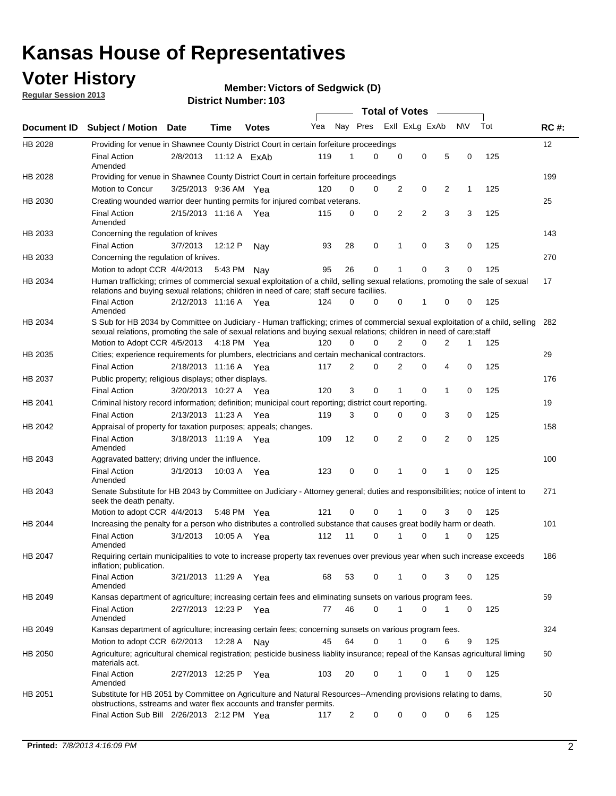## **Voter History**

**Member: Victors of Sedgwick (D)** 

**Regular Session 2013**

|             |                                                                                                                                                                                                                                                       |                       |         |                |     |                | <b>Total of Votes</b> |   |                |                |           |     |             |
|-------------|-------------------------------------------------------------------------------------------------------------------------------------------------------------------------------------------------------------------------------------------------------|-----------------------|---------|----------------|-----|----------------|-----------------------|---|----------------|----------------|-----------|-----|-------------|
| Document ID | <b>Subject / Motion Date</b>                                                                                                                                                                                                                          |                       | Time    | <b>Votes</b>   | Yea | Nay Pres       |                       |   | Exll ExLg ExAb |                | <b>NV</b> | Tot | <b>RC#:</b> |
| HB 2028     | Providing for venue in Shawnee County District Court in certain forfeiture proceedings                                                                                                                                                                |                       |         |                |     |                |                       |   |                |                |           |     | 12          |
|             | <b>Final Action</b><br>Amended                                                                                                                                                                                                                        | 2/8/2013              |         | 11:12 A $ExAb$ | 119 | 1              | $\Omega$              | 0 | 0              | 5              | 0         | 125 |             |
| HB 2028     | Providing for venue in Shawnee County District Court in certain forfeiture proceedings                                                                                                                                                                |                       |         |                |     |                |                       |   |                |                |           |     | 199         |
|             | Motion to Concur                                                                                                                                                                                                                                      | 3/25/2013 9:36 AM Yea |         |                | 120 | 0              | 0                     | 2 | 0              | 2              | 1         | 125 |             |
| HB 2030     | Creating wounded warrior deer hunting permits for injured combat veterans.                                                                                                                                                                            |                       |         |                |     |                |                       |   |                |                |           |     | 25          |
|             | <b>Final Action</b><br>Amended                                                                                                                                                                                                                        | 2/15/2013 11:16 A     |         | Yea            | 115 | 0              | 0                     | 2 | $\overline{2}$ | 3              | 3         | 125 |             |
| HB 2033     | Concerning the regulation of knives                                                                                                                                                                                                                   |                       |         |                |     |                |                       |   |                |                |           |     | 143         |
|             | <b>Final Action</b>                                                                                                                                                                                                                                   | 3/7/2013              | 12:12 P | Nav            | 93  | 28             | 0                     | 1 | 0              | 3              | 0         | 125 |             |
| HB 2033     | Concerning the regulation of knives.                                                                                                                                                                                                                  |                       |         |                |     |                |                       |   |                |                |           |     | 270         |
|             | Motion to adopt CCR 4/4/2013                                                                                                                                                                                                                          |                       | 5:43 PM | Nav            | 95  | 26             | 0                     |   | 0              | 3              | 0         | 125 |             |
| HB 2034     | Human trafficking; crimes of commercial sexual exploitation of a child, selling sexual relations, promoting the sale of sexual<br>relations and buying sexual relations; children in need of care; staff secure faciliies.                            |                       |         |                |     |                |                       |   |                |                |           |     | 17          |
|             | <b>Final Action</b><br>Amended                                                                                                                                                                                                                        | 2/12/2013 11:16 A Yea |         |                | 124 | $\Omega$       | 0                     | 0 | 1              | 0              | 0         | 125 |             |
| HB 2034     | S Sub for HB 2034 by Committee on Judiciary - Human trafficking; crimes of commercial sexual exploitation of a child, selling<br>sexual relations, promoting the sale of sexual relations and buying sexual relations; children in need of care;staff |                       |         |                |     |                |                       |   |                |                |           |     | 282         |
|             | Motion to Adopt CCR 4/5/2013 4:18 PM Yea                                                                                                                                                                                                              |                       |         |                | 120 | 0              | 0                     | 2 | 0              | $\overline{2}$ | 1         | 125 |             |
| HB 2035     | Cities; experience requirements for plumbers, electricians and certain mechanical contractors.                                                                                                                                                        |                       |         |                |     |                |                       |   |                |                |           |     | 29          |
|             | <b>Final Action</b>                                                                                                                                                                                                                                   | 2/18/2013 11:16 A     |         | Yea            | 117 | 2              | 0                     | 2 | 0              | 4              | 0         | 125 |             |
| HB 2037     | Public property; religious displays; other displays.                                                                                                                                                                                                  |                       |         |                |     |                |                       |   |                |                |           |     | 176         |
|             | <b>Final Action</b>                                                                                                                                                                                                                                   | 3/20/2013 10:27 A     |         | Yea            | 120 | 3              | 0                     | 1 | 0              | 1              | 0         | 125 |             |
| HB 2041     | Criminal history record information; definition; municipal court reporting; district court reporting.                                                                                                                                                 |                       |         |                |     |                |                       |   |                |                |           |     | 19          |
|             | <b>Final Action</b>                                                                                                                                                                                                                                   | 2/13/2013 11:23 A     |         | Yea            | 119 | 3              | 0                     | 0 | 0              | 3              | 0         | 125 |             |
| HB 2042     | Appraisal of property for taxation purposes; appeals; changes.                                                                                                                                                                                        |                       |         |                |     |                |                       |   |                |                |           |     | 158         |
|             | <b>Final Action</b><br>Amended                                                                                                                                                                                                                        | 3/18/2013 11:19 A     |         | Yea            | 109 | 12             | 0                     | 2 | 0              | $\overline{2}$ | 0         | 125 |             |
| HB 2043     | Aggravated battery; driving under the influence.                                                                                                                                                                                                      |                       |         |                |     |                |                       |   |                |                |           |     | 100         |
|             | <b>Final Action</b><br>Amended                                                                                                                                                                                                                        | 3/1/2013              |         | 10:03 A Yea    | 123 | 0              | 0                     |   | 0              | 1              | 0         | 125 |             |
| HB 2043     | Senate Substitute for HB 2043 by Committee on Judiciary - Attorney general; duties and responsibilities; notice of intent to<br>seek the death penalty.                                                                                               |                       |         |                |     |                |                       |   |                |                |           |     | 271         |
|             | Motion to adopt CCR 4/4/2013                                                                                                                                                                                                                          |                       |         | 5:48 PM Yea    | 121 | 0              | 0                     |   | 0              | 3              | 0         | 125 |             |
| HB 2044     | Increasing the penalty for a person who distributes a controlled substance that causes great bodily harm or death.                                                                                                                                    |                       |         |                |     |                |                       |   |                |                |           |     | 101         |
|             | <b>Final Action</b><br>Amended                                                                                                                                                                                                                        | 3/1/2013              | 10:05 A | Yea            | 112 | 11             | 0                     |   | 0              |                | 0         | 125 |             |
| HB 2047     | Requiring certain municipalities to vote to increase property tax revenues over previous year when such increase exceeds<br>inflation; publication.                                                                                                   |                       |         |                |     |                |                       |   |                |                |           |     | 186         |
|             | <b>Final Action</b><br>Amended                                                                                                                                                                                                                        | 3/21/2013 11:29 A Yea |         |                | 68  | 53             | 0                     |   | 0              | 3              | 0         | 125 |             |
| HB 2049     | Kansas department of agriculture; increasing certain fees and eliminating sunsets on various program fees.                                                                                                                                            |                       |         |                |     |                |                       |   |                |                |           |     | 59          |
|             | <b>Final Action</b><br>Amended                                                                                                                                                                                                                        | 2/27/2013 12:23 P Yea |         |                | 77  | 46             | 0                     | 1 | 0              | 1              | 0         | 125 |             |
| HB 2049     | Kansas department of agriculture; increasing certain fees; concerning sunsets on various program fees.                                                                                                                                                |                       |         |                |     |                |                       |   |                |                |           |     | 324         |
|             | Motion to adopt CCR 6/2/2013                                                                                                                                                                                                                          |                       | 12:28 A | Nay            | 45  | 64             | 0                     |   | 0              | 6              | 9         | 125 |             |
| HB 2050     | Agriculture; agricultural chemical registration; pesticide business liablity insurance; repeal of the Kansas agricultural liming<br>materials act.                                                                                                    |                       |         |                |     |                |                       |   |                |                |           |     | 60          |
|             | <b>Final Action</b><br>Amended                                                                                                                                                                                                                        | 2/27/2013 12:25 P     |         | Yea            | 103 | 20             | 0                     | 1 | 0              | 1              | 0         | 125 |             |
| HB 2051     | Substitute for HB 2051 by Committee on Agriculture and Natural Resources--Amending provisions relating to dams,<br>obstructions, sstreams and water flex accounts and transfer permits.                                                               |                       |         |                |     |                |                       |   |                |                |           |     | 50          |
|             | Final Action Sub Bill 2/26/2013 2:12 PM Yea                                                                                                                                                                                                           |                       |         |                | 117 | $\overline{c}$ | 0                     | 0 | 0              | 0              | 6         | 125 |             |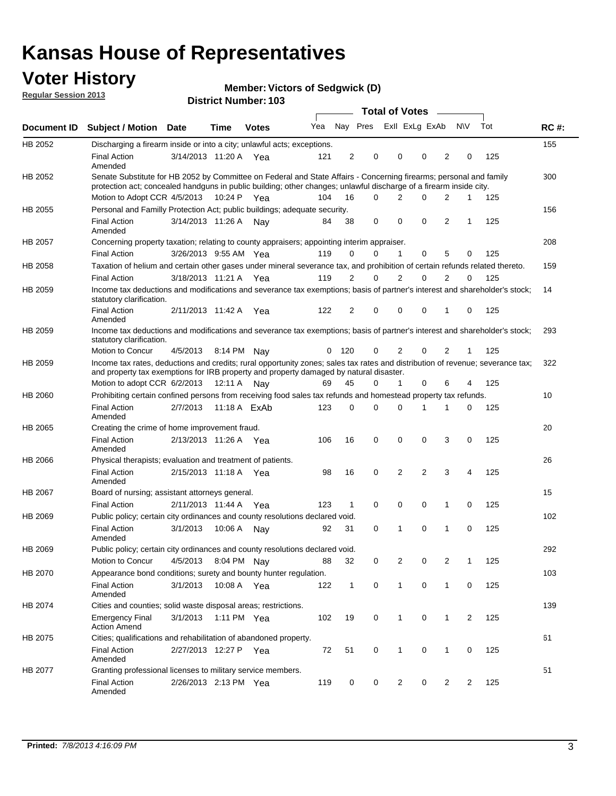## **Voter History**

**Member: Victors of Sedgwick (D)** 

**Regular Session 2013**

|             |                                                                                                                                                                                                                                          |                       |             |              |     |              |                         | <b>Total of Votes</b> |                |                | $\frac{1}{2}$  |                |     |             |
|-------------|------------------------------------------------------------------------------------------------------------------------------------------------------------------------------------------------------------------------------------------|-----------------------|-------------|--------------|-----|--------------|-------------------------|-----------------------|----------------|----------------|----------------|----------------|-----|-------------|
| Document ID | <b>Subject / Motion Date</b>                                                                                                                                                                                                             |                       | Time        | <b>Votes</b> | Yea |              | Nay Pres Exll ExLg ExAb |                       |                |                |                | <b>NV</b>      | Tot | <b>RC#:</b> |
| HB 2052     | Discharging a firearm inside or into a city; unlawful acts; exceptions.                                                                                                                                                                  |                       |             |              |     |              |                         |                       |                |                |                |                |     | 155         |
|             | <b>Final Action</b><br>Amended                                                                                                                                                                                                           | 3/14/2013 11:20 A Yea |             |              | 121 | 2            | 0                       |                       | 0              | 0              | 2              | 0              | 125 |             |
| HB 2052     | Senate Substitute for HB 2052 by Committee on Federal and State Affairs - Concerning firearms; personal and family<br>protection act; concealed handguns in public building; other changes; unlawful discharge of a firearm inside city. |                       |             |              |     |              |                         |                       |                |                |                |                |     | 300         |
|             | Motion to Adopt CCR 4/5/2013 10:24 P Yea                                                                                                                                                                                                 |                       |             |              | 104 | 16           |                         | $\Omega$              | 2              | 0              | $\overline{2}$ | $\mathbf{1}$   | 125 |             |
| HB 2055     | Personal and Familly Protection Act; public buildings; adequate security.                                                                                                                                                                |                       |             |              |     |              |                         |                       |                |                |                |                |     | 156         |
|             | <b>Final Action</b><br>Amended                                                                                                                                                                                                           | 3/14/2013 11:26 A     |             | Nay          | 84  | 38           |                         | 0                     | $\mathbf 0$    | 0              | 2              | 1              | 125 |             |
| HB 2057     | Concerning property taxation; relating to county appraisers; appointing interim appraiser.                                                                                                                                               |                       |             |              |     |              |                         |                       |                |                |                |                |     | 208         |
|             | <b>Final Action</b>                                                                                                                                                                                                                      | 3/26/2013 9:55 AM Yea |             |              | 119 | 0            | 0                       |                       | $\mathbf{1}$   | 0              | 5              | 0              | 125 |             |
| HB 2058     | Taxation of helium and certain other gases under mineral severance tax, and prohibition of certain refunds related thereto.                                                                                                              |                       |             |              |     |              |                         |                       |                |                |                |                |     | 159         |
|             | <b>Final Action</b>                                                                                                                                                                                                                      | 3/18/2013 11:21 A Yea |             |              | 119 | 2            | 0                       |                       | 2              | 0              | $\overline{2}$ | $\Omega$       | 125 |             |
| HB 2059     | Income tax deductions and modifications and severance tax exemptions; basis of partner's interest and shareholder's stock;<br>statutory clarification.                                                                                   |                       |             |              |     |              |                         |                       |                |                |                |                |     | 14          |
|             | <b>Final Action</b><br>Amended                                                                                                                                                                                                           | 2/11/2013 11:42 A     |             | Yea          | 122 | 2            | 0                       |                       | 0              | 0              | 1              | 0              | 125 |             |
| HB 2059     | Income tax deductions and modifications and severance tax exemptions; basis of partner's interest and shareholder's stock;<br>statutory clarification.                                                                                   |                       |             |              |     |              |                         |                       |                |                |                |                |     | 293         |
|             | Motion to Concur                                                                                                                                                                                                                         | 4/5/2013              | 8:14 PM     | Nav          | 0   | 120          | 0                       |                       | 2              | 0              | $\overline{2}$ | 1              | 125 |             |
| HB 2059     | Income tax rates, deductions and credits; rural opportunity zones; sales tax rates and distribution of revenue; severance tax;<br>and property tax exemptions for IRB property and property damaged by natural disaster.                 |                       |             |              |     |              |                         |                       |                |                |                |                |     | 322         |
|             | Motion to adopt CCR 6/2/2013                                                                                                                                                                                                             |                       | 12:11 A     | Nav          | 69  | 45           | 0                       |                       | 1              | 0              | 6              | 4              | 125 |             |
| HB 2060     | Prohibiting certain confined persons from receiving food sales tax refunds and homestead property tax refunds.                                                                                                                           |                       |             |              |     |              |                         |                       |                |                |                |                |     | 10          |
|             | <b>Final Action</b><br>Amended                                                                                                                                                                                                           | 2/7/2013              |             | 11:18 A ExAb | 123 | 0            | 0                       |                       | 0              | 1              | 1              | 0              | 125 |             |
| HB 2065     | Creating the crime of home improvement fraud.                                                                                                                                                                                            |                       |             |              |     |              |                         |                       |                |                |                |                |     | 20          |
|             | <b>Final Action</b><br>Amended                                                                                                                                                                                                           | 2/13/2013 11:26 A Yea |             |              | 106 | 16           | $\mathbf 0$             |                       | 0              | 0              | 3              | 0              | 125 |             |
| HB 2066     | Physical therapists; evaluation and treatment of patients.                                                                                                                                                                               |                       |             |              |     |              |                         |                       |                |                |                |                |     | 26          |
|             | <b>Final Action</b><br>Amended                                                                                                                                                                                                           | 2/15/2013 11:18 A Yea |             |              | 98  | 16           | 0                       |                       | 2              | $\overline{2}$ | 3              | 4              | 125 |             |
| HB 2067     | Board of nursing; assistant attorneys general.                                                                                                                                                                                           |                       |             |              |     |              |                         |                       |                |                |                |                |     | 15          |
|             | <b>Final Action</b>                                                                                                                                                                                                                      | 2/11/2013 11:44 A     |             | Yea          | 123 | 1            | $\mathbf 0$             |                       | $\mathbf 0$    | 0              | 1              | 0              | 125 |             |
| HB 2069     | Public policy; certain city ordinances and county resolutions declared void.                                                                                                                                                             |                       |             |              |     |              |                         |                       |                |                |                |                |     | 102         |
|             | <b>Final Action</b><br>Amended                                                                                                                                                                                                           | 3/1/2013              | 10:06 A     | Nav          | 92  | 31           | $\mathbf 0$             |                       | 1              | 0              | 1              | $\mathbf 0$    | 125 |             |
| HB 2069     | Public policy; certain city ordinances and county resolutions declared void.                                                                                                                                                             |                       |             |              |     |              |                         |                       |                |                |                |                |     | 292         |
|             | Motion to Concur                                                                                                                                                                                                                         | 4/5/2013              | 8:04 PM Nay |              | 88  | 32           | 0                       |                       | $\overline{2}$ | 0              | $\overline{2}$ | 1              | 125 |             |
| HB 2070     | Appearance bond conditions; surety and bounty hunter regulation.                                                                                                                                                                         |                       |             |              |     |              |                         |                       |                |                |                |                |     | 103         |
|             | <b>Final Action</b><br>Amended                                                                                                                                                                                                           | 3/1/2013              |             | 10:08 A Yea  | 122 | $\mathbf{1}$ | $\mathbf 0$             |                       | $\mathbf{1}$   | 0              | 1              | 0              | 125 |             |
| HB 2074     | Cities and counties; solid waste disposal areas; restrictions.                                                                                                                                                                           |                       |             |              |     |              |                         |                       |                |                |                |                |     | 139         |
|             | <b>Emergency Final</b><br><b>Action Amend</b>                                                                                                                                                                                            | 3/1/2013              |             | 1:11 PM Yea  | 102 | 19           | 0                       |                       | $\mathbf{1}$   | 0              | 1              | $\overline{2}$ | 125 |             |
| HB 2075     | Cities; qualifications and rehabilitation of abandoned property.                                                                                                                                                                         |                       |             |              |     |              |                         |                       |                |                |                |                |     | 61          |
|             | <b>Final Action</b><br>Amended                                                                                                                                                                                                           | 2/27/2013 12:27 P     |             | Yea          | 72  | 51           | 0                       |                       | 1              | 0              | 1              | 0              | 125 |             |
| HB 2077     | Granting professional licenses to military service members.<br><b>Final Action</b><br>Amended                                                                                                                                            | 2/26/2013 2:13 PM Yea |             |              | 119 | 0            |                         | 0                     | $\overline{2}$ | 0              | $\overline{2}$ | 2              | 125 | 51          |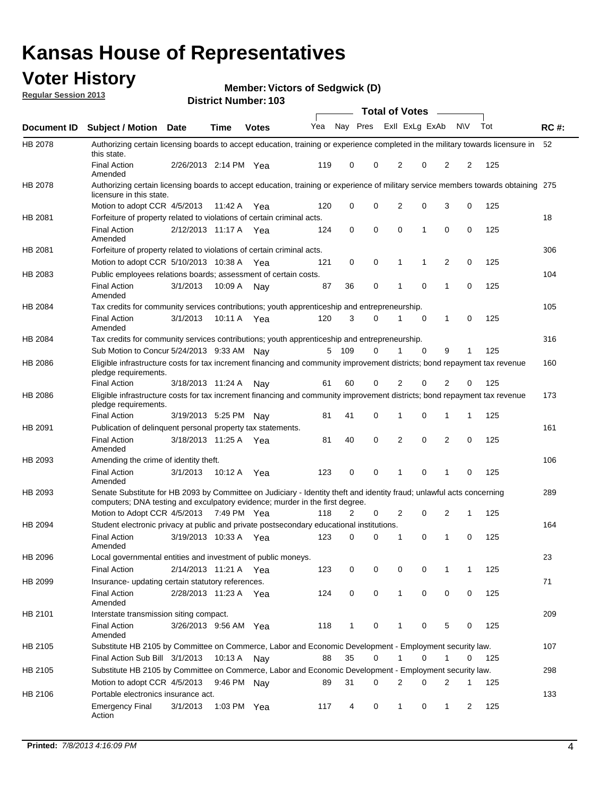## **Voter History**

**Member: Victors of Sedgwick (D)** 

**Regular Session 2013**

|                    |                                                                                                                                                                                                       |                       |               | טטו דיסעוווואפו ויטו |              |              |   | <b>Total of Votes</b> |             | $\sim$         |             |     |             |
|--------------------|-------------------------------------------------------------------------------------------------------------------------------------------------------------------------------------------------------|-----------------------|---------------|----------------------|--------------|--------------|---|-----------------------|-------------|----------------|-------------|-----|-------------|
| <b>Document ID</b> | <b>Subject / Motion Date</b>                                                                                                                                                                          |                       | <b>Time</b>   | <b>Votes</b>         | Yea Nay Pres |              |   | Exll ExLg ExAb        |             |                | <b>NV</b>   | Tot | <b>RC#:</b> |
| HB 2078            | Authorizing certain licensing boards to accept education, training or experience completed in the military towards licensure in<br>this state.                                                        |                       |               |                      |              |              |   |                       |             |                |             |     | 52          |
|                    | <b>Final Action</b><br>Amended                                                                                                                                                                        | 2/26/2013 2:14 PM Yea |               |                      | 119          | 0            | 0 | 2                     | 0           | 2              | 2           | 125 |             |
| HB 2078            | Authorizing certain licensing boards to accept education, training or experience of military service members towards obtaining 275<br>licensure in this state.                                        |                       |               |                      |              |              |   |                       |             |                |             |     |             |
|                    | Motion to adopt CCR 4/5/2013                                                                                                                                                                          |                       | 11:42 A       | Yea                  | 120          | 0            | 0 | $\overline{2}$        | 0           | 3              | 0           | 125 |             |
| HB 2081            | Forfeiture of property related to violations of certain criminal acts.                                                                                                                                |                       |               |                      |              |              |   |                       |             |                |             |     | 18          |
|                    | <b>Final Action</b><br>Amended                                                                                                                                                                        | 2/12/2013 11:17 A Yea |               |                      | 124          | 0            | 0 | $\Omega$              | 1           | 0              | 0           | 125 |             |
| HB 2081            | Forfeiture of property related to violations of certain criminal acts.                                                                                                                                |                       |               |                      |              |              |   |                       |             |                |             |     | 306         |
|                    | Motion to adopt CCR 5/10/2013 10:38 A                                                                                                                                                                 |                       |               | Yea                  | 121          | 0            | 0 | 1                     | 1           | 2              | 0           | 125 |             |
| HB 2083            | Public employees relations boards; assessment of certain costs.                                                                                                                                       |                       |               |                      |              |              |   |                       |             |                |             |     | 104         |
|                    | <b>Final Action</b><br>Amended                                                                                                                                                                        | 3/1/2013              | 10:09 A       | Nay                  | 87           | 36           | 0 | 1                     | $\mathbf 0$ | 1              | $\mathbf 0$ | 125 |             |
| HB 2084            | Tax credits for community services contributions; youth apprenticeship and entrepreneurship.                                                                                                          |                       |               |                      |              |              |   |                       |             |                |             |     | 105         |
|                    | <b>Final Action</b><br>Amended                                                                                                                                                                        | 3/1/2013              | 10:11 A       | Yea                  | 120          | 3            | 0 | 1                     | $\mathbf 0$ | 1              | 0           | 125 |             |
| HB 2084            | Tax credits for community services contributions; youth apprenticeship and entrepreneurship.                                                                                                          |                       |               |                      |              |              |   |                       |             |                |             |     | 316         |
|                    | Sub Motion to Concur 5/24/2013 9:33 AM Nav                                                                                                                                                            |                       |               |                      | 5            | - 109        | 0 |                       | 0           | 9              | 1           | 125 |             |
| HB 2086            | Eligible infrastructure costs for tax increment financing and community improvement districts; bond repayment tax revenue<br>pledge requirements.                                                     |                       |               |                      |              |              |   |                       |             |                |             |     | 160         |
|                    | <b>Final Action</b>                                                                                                                                                                                   | 3/18/2013 11:24 A     |               | Nav                  | 61           | 60           | 0 | 2                     | 0           | $\overline{2}$ | 0           | 125 |             |
| HB 2086            | Eligible infrastructure costs for tax increment financing and community improvement districts; bond repayment tax revenue<br>pledge requirements.                                                     |                       |               |                      |              |              |   |                       |             |                |             |     | 173         |
|                    | <b>Final Action</b>                                                                                                                                                                                   | 3/19/2013 5:25 PM     |               | Nav                  | 81           | 41           | 0 | 1                     | 0           | 1              | 1           | 125 |             |
| HB 2091            | Publication of delinguent personal property tax statements.                                                                                                                                           |                       |               |                      |              |              |   |                       |             |                |             |     | 161         |
|                    | <b>Final Action</b><br>Amended                                                                                                                                                                        | 3/18/2013 11:25 A     |               | Yea                  | 81           | 40           | 0 | 2                     | 0           | $\overline{2}$ | 0           | 125 |             |
| HB 2093            | Amending the crime of identity theft.                                                                                                                                                                 |                       |               |                      |              |              |   |                       |             |                |             |     | 106         |
|                    | <b>Final Action</b><br>Amended                                                                                                                                                                        | 3/1/2013              | 10:12 A       | Yea                  | 123          | 0            | 0 | 1                     | $\Omega$    | 1              | 0           | 125 |             |
| HB 2093            | Senate Substitute for HB 2093 by Committee on Judiciary - Identity theft and identity fraud; unlawful acts concerning<br>computers; DNA testing and exculpatory evidence; murder in the first degree. |                       |               |                      |              |              |   |                       |             |                |             |     | 289         |
|                    | Motion to Adopt CCR 4/5/2013 7:49 PM Yea                                                                                                                                                              |                       |               |                      | 118          | 2            | 0 | 2                     | 0           | 2              | 1           | 125 |             |
| HB 2094            | Student electronic privacy at public and private postsecondary educational institutions.                                                                                                              |                       |               |                      |              |              |   |                       |             |                |             |     | 164         |
|                    | <b>Final Action</b><br>Amended                                                                                                                                                                        | 3/19/2013 10:33 A     |               | Yea                  | 123          | 0            | 0 | 1                     | 0           | 1              | 0           | 125 |             |
| HB 2096            | Local governmental entities and investment of public moneys.                                                                                                                                          |                       |               |                      |              |              |   |                       |             |                |             |     | 23          |
|                    | <b>Final Action</b>                                                                                                                                                                                   | 2/14/2013 11:21 A     |               | Yea                  | 123          | 0            | 0 | 0                     | 0           | 1              | 1           | 125 |             |
| HB 2099            | Insurance- updating certain statutory references.                                                                                                                                                     |                       |               |                      |              |              |   |                       |             |                |             |     | 71          |
|                    | <b>Final Action</b><br>Amended                                                                                                                                                                        | 2/28/2013 11:23 A     |               | Yea                  | 124          | 0            | 0 | 1                     | 0           | 0              | 0           | 125 |             |
| HB 2101            | Interstate transmission siting compact.                                                                                                                                                               |                       |               |                      |              |              |   |                       |             |                |             |     | 209         |
|                    | <b>Final Action</b><br>Amended                                                                                                                                                                        | 3/26/2013 9:56 AM Yea |               |                      | 118          | $\mathbf{1}$ | 0 | 1                     | 0           | 5              | 0           | 125 |             |
| HB 2105            | Substitute HB 2105 by Committee on Commerce, Labor and Economic Development - Employment security law.                                                                                                |                       |               |                      |              |              |   |                       |             |                |             |     | 107         |
|                    | Final Action Sub Bill 3/1/2013                                                                                                                                                                        |                       | 10:13 A Nay   |                      | 88           | 35           | 0 |                       | 0           | 1              | 0           | 125 |             |
| HB 2105            | Substitute HB 2105 by Committee on Commerce, Labor and Economic Development - Employment security law.                                                                                                |                       |               |                      |              |              |   |                       |             |                |             |     | 298         |
|                    | Motion to adopt CCR 4/5/2013                                                                                                                                                                          |                       | 9:46 PM Nay   |                      | 89           | 31           | 0 | 2                     | 0           | 2              | 1           | 125 |             |
| HB 2106            | Portable electronics insurance act.                                                                                                                                                                   |                       |               |                      |              |              |   |                       |             |                |             |     | 133         |
|                    | <b>Emergency Final</b><br>Action                                                                                                                                                                      | 3/1/2013              | 1:03 PM $Yea$ |                      | 117          | 4            | 0 | $\mathbf{1}$          | 0           | $\mathbf{1}$   | 2           | 125 |             |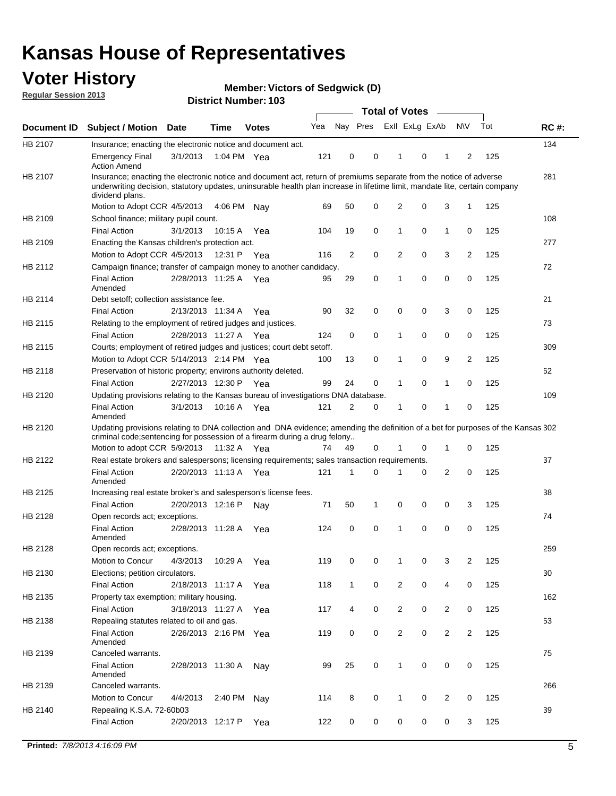## **Voter History**

**Member: Victors of Sedgwick (D)** 

**Regular Session 2013**

|             |                                                                                                                                                                                                                                                                      |                       |                       |              |     |                | <b>Total of Votes</b> |                |   | $\frac{1}{2}$  |                |     |             |
|-------------|----------------------------------------------------------------------------------------------------------------------------------------------------------------------------------------------------------------------------------------------------------------------|-----------------------|-----------------------|--------------|-----|----------------|-----------------------|----------------|---|----------------|----------------|-----|-------------|
| Document ID | Subject / Motion Date                                                                                                                                                                                                                                                |                       | Time                  | <b>Votes</b> | Yea | Nay Pres       |                       | Exll ExLg ExAb |   |                | <b>NV</b>      | Tot | <b>RC#:</b> |
| HB 2107     | Insurance; enacting the electronic notice and document act.                                                                                                                                                                                                          |                       |                       |              |     |                |                       |                |   |                |                |     | 134         |
|             | <b>Emergency Final</b><br><b>Action Amend</b>                                                                                                                                                                                                                        | 3/1/2013              |                       | 1:04 PM Yea  | 121 | 0              | 0                     | 1              | 0 | 1              | 2              | 125 |             |
| HB 2107     | Insurance; enacting the electronic notice and document act, return of premiums separate from the notice of adverse<br>underwriting decision, statutory updates, uninsurable health plan increase in lifetime limit, mandate lite, certain company<br>dividend plans. |                       |                       |              |     |                |                       |                |   |                |                |     | 281         |
|             | Motion to Adopt CCR 4/5/2013                                                                                                                                                                                                                                         |                       | 4:06 PM               | Nav          | 69  | 50             | 0                     | 2              | 0 | 3              | 1              | 125 |             |
| HB 2109     | School finance; military pupil count.                                                                                                                                                                                                                                |                       |                       |              |     |                |                       |                |   |                |                |     | 108         |
|             | <b>Final Action</b>                                                                                                                                                                                                                                                  | 3/1/2013              | 10:15 A               | Yea          | 104 | 19             | 0                     | 1              | 0 | $\mathbf{1}$   | 0              | 125 |             |
| HB 2109     | Enacting the Kansas children's protection act.                                                                                                                                                                                                                       |                       |                       |              |     |                |                       |                |   |                |                |     | 277         |
|             | Motion to Adopt CCR 4/5/2013                                                                                                                                                                                                                                         |                       | 12:31 P Yea           |              | 116 | $\overline{2}$ | 0                     | 2              | 0 | 3              | $\overline{2}$ | 125 |             |
| HB 2112     | Campaign finance; transfer of campaign money to another candidacy.                                                                                                                                                                                                   |                       |                       |              |     |                |                       |                |   |                |                |     | 72          |
|             | <b>Final Action</b><br>Amended                                                                                                                                                                                                                                       |                       | 2/28/2013 11:25 A Yea |              | 95  | 29             | 0                     | 1              | 0 | 0              | 0              | 125 |             |
| HB 2114     | Debt setoff; collection assistance fee.                                                                                                                                                                                                                              |                       |                       |              |     |                |                       |                |   |                |                |     | 21          |
|             | <b>Final Action</b>                                                                                                                                                                                                                                                  | 2/13/2013 11:34 A     |                       | Yea          | 90  | 32             | 0                     | 0              | 0 | 3              | 0              | 125 |             |
| HB 2115     | Relating to the employment of retired judges and justices.                                                                                                                                                                                                           |                       |                       |              |     |                |                       |                |   |                |                |     | 73          |
|             | <b>Final Action</b>                                                                                                                                                                                                                                                  | 2/28/2013 11:27 A     |                       | Yea          | 124 | 0              | 0                     | 1              | 0 | 0              | 0              | 125 |             |
| HB 2115     | Courts; employment of retired judges and justices; court debt setoff.                                                                                                                                                                                                |                       |                       |              |     |                |                       |                |   |                |                |     | 309         |
|             | Motion to Adopt CCR 5/14/2013 2:14 PM Yea                                                                                                                                                                                                                            |                       |                       |              | 100 | 13             | 0                     | 1              | 0 | 9              | 2              | 125 |             |
| HB 2118     | Preservation of historic property; environs authority deleted.                                                                                                                                                                                                       |                       |                       |              |     |                |                       |                |   |                |                |     | 62          |
|             | <b>Final Action</b>                                                                                                                                                                                                                                                  |                       | 2/27/2013 12:30 P     | Yea          | 99  | 24             | 0                     | 1              | 0 | 1              | 0              | 125 |             |
| HB 2120     | Updating provisions relating to the Kansas bureau of investigations DNA database.                                                                                                                                                                                    |                       |                       |              |     |                |                       |                |   |                |                |     | 109         |
|             | <b>Final Action</b><br>Amended                                                                                                                                                                                                                                       | 3/1/2013              | 10:16 A               | Yea          | 121 | 2              | 0                     | 1              | 0 | 1              | 0              | 125 |             |
| HB 2120     | Updating provisions relating to DNA collection and DNA evidence; amending the definition of a bet for purposes of the Kansas 302<br>criminal code; sentencing for possession of a firearm during a drug felony                                                       |                       |                       |              |     |                |                       |                |   |                |                |     |             |
|             | Motion to adopt CCR 5/9/2013 11:32 A Yea                                                                                                                                                                                                                             |                       |                       |              | 74  | 49             | 0                     |                | 0 | 1              | 0              | 125 |             |
| HB 2122     | Real estate brokers and salespersons; licensing requirements; sales transaction requirements.                                                                                                                                                                        |                       |                       |              |     |                |                       |                |   |                |                |     | 37          |
|             | <b>Final Action</b><br>Amended                                                                                                                                                                                                                                       | 2/20/2013 11:13 A Yea |                       |              | 121 | 1              | $\Omega$              |                | 0 | $\overline{2}$ | 0              | 125 |             |
| HB 2125     | Increasing real estate broker's and salesperson's license fees.                                                                                                                                                                                                      |                       |                       |              |     |                |                       |                |   |                |                |     | 38          |
|             | <b>Final Action</b>                                                                                                                                                                                                                                                  | 2/20/2013 12:16 P     |                       | Nay          | 71  | 50             | 1                     | 0              | 0 | 0              | 3              | 125 |             |
| HB 2128     | Open records act; exceptions.<br><b>Final Action</b><br>Amended                                                                                                                                                                                                      | 2/28/2013 11:28 A     |                       | Yea          | 124 | 0              | 0                     | 1              | 0 | 0              | 0              | 125 | 74          |
| HB 2128     | Open records act; exceptions.                                                                                                                                                                                                                                        |                       |                       |              |     |                |                       |                |   |                |                |     | 259         |
|             | Motion to Concur                                                                                                                                                                                                                                                     | 4/3/2013              | 10:29 A               | Yea          | 119 | 0              | 0                     | 1              | 0 | 3              | 2              | 125 |             |
| HB 2130     | Elections; petition circulators.                                                                                                                                                                                                                                     |                       |                       |              |     |                |                       |                |   |                |                |     | 30          |
|             | <b>Final Action</b>                                                                                                                                                                                                                                                  | 2/18/2013 11:17 A     |                       | Yea          | 118 | $\mathbf{1}$   | 0                     | $\overline{c}$ | 0 | 4              | 0              | 125 |             |
| HB 2135     | Property tax exemption; military housing.                                                                                                                                                                                                                            |                       |                       |              |     |                |                       |                |   |                |                |     | 162         |
|             | <b>Final Action</b>                                                                                                                                                                                                                                                  | 3/18/2013 11:27 A     |                       | Yea          | 117 | 4              | 0                     | $\overline{2}$ | 0 | 2              | 0              | 125 |             |
| HB 2138     | Repealing statutes related to oil and gas.                                                                                                                                                                                                                           |                       |                       |              |     |                |                       |                |   |                |                |     | 53          |
|             | <b>Final Action</b><br>Amended                                                                                                                                                                                                                                       | 2/26/2013 2:16 PM     |                       | Yea          | 119 | 0              | 0                     | $\overline{2}$ | 0 | $\overline{2}$ | $\overline{2}$ | 125 |             |
| HB 2139     | Canceled warrants.                                                                                                                                                                                                                                                   |                       |                       |              |     |                |                       |                |   |                |                |     | 75          |
|             | <b>Final Action</b><br>Amended                                                                                                                                                                                                                                       | 2/28/2013 11:30 A     |                       | Nay          | 99  | 25             | 0                     | $\mathbf{1}$   | 0 | 0              | 0              | 125 |             |
| HB 2139     | Canceled warrants.                                                                                                                                                                                                                                                   |                       |                       |              |     |                |                       |                |   |                |                |     | 266         |
|             | Motion to Concur                                                                                                                                                                                                                                                     | 4/4/2013              | 2:40 PM               | Nay          | 114 | 8              | 0                     | 1              | 0 | 2              | 0              | 125 |             |
| HB 2140     | Repealing K.S.A. 72-60b03                                                                                                                                                                                                                                            |                       |                       |              |     |                |                       |                |   |                |                |     | 39          |
|             | <b>Final Action</b>                                                                                                                                                                                                                                                  |                       | 2/20/2013 12:17 P     | Yea          | 122 | 0              | 0                     | 0              | 0 | 0              | 3              | 125 |             |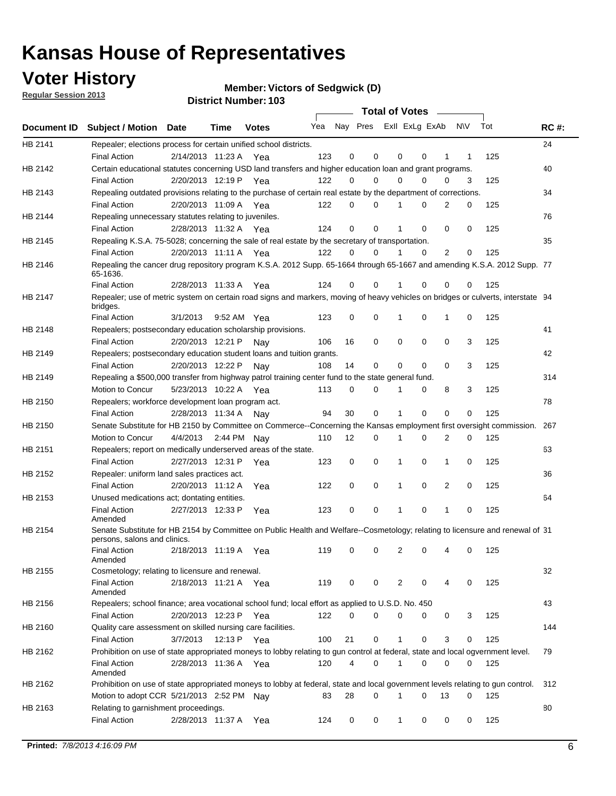## **Voter History**

**Member: Victors of Sedgwick (D)** 

**Regular Session 2013**

|             |                                                                                                                                              |          |                       |              |     |             | <b>Total of Votes</b>   |              |   | $\sim$         |           |     |             |
|-------------|----------------------------------------------------------------------------------------------------------------------------------------------|----------|-----------------------|--------------|-----|-------------|-------------------------|--------------|---|----------------|-----------|-----|-------------|
| Document ID | <b>Subject / Motion Date</b>                                                                                                                 |          | Time                  | <b>Votes</b> | Yea |             | Nay Pres ExII ExLg ExAb |              |   |                | <b>NV</b> | Tot | <b>RC#:</b> |
| HB 2141     | Repealer; elections process for certain unified school districts.                                                                            |          |                       |              |     |             |                         |              |   |                |           |     | 24          |
|             | <b>Final Action</b>                                                                                                                          |          | 2/14/2013 11:23 A Yea |              | 123 | 0           | 0                       | 0            | 0 | 1              | 1         | 125 |             |
| HB 2142     | Certain educational statutes concerning USD land transfers and higher education loan and grant programs.                                     |          |                       |              |     |             |                         |              |   |                |           |     | 40          |
|             | <b>Final Action</b>                                                                                                                          |          | 2/20/2013 12:19 P Yea |              | 122 | 0           | 0                       | $\Omega$     | 0 | $\Omega$       | 3         | 125 |             |
| HB 2143     | Repealing outdated provisions relating to the purchase of certain real estate by the department of corrections.                              |          |                       |              |     |             |                         |              |   |                |           |     | 34          |
|             | <b>Final Action</b>                                                                                                                          |          | 2/20/2013 11:09 A Yea |              | 122 | 0           | 0                       | 1            | 0 | $\overline{2}$ | 0         | 125 |             |
| HB 2144     | Repealing unnecessary statutes relating to juveniles.                                                                                        |          |                       |              |     |             |                         |              |   |                |           |     | 76          |
|             | <b>Final Action</b>                                                                                                                          |          | 2/28/2013 11:32 A Yea |              | 124 | $\mathbf 0$ | 0                       | 1            | 0 | 0              | 0         | 125 |             |
| HB 2145     | Repealing K.S.A. 75-5028; concerning the sale of real estate by the secretary of transportation.                                             |          |                       |              |     |             |                         |              |   |                |           |     | 35          |
|             | <b>Final Action</b>                                                                                                                          |          | 2/20/2013 11:11 A Yea |              | 122 | 0           | 0                       | 1            | 0 | 2              | 0         | 125 |             |
| HB 2146     | Repealing the cancer drug repository program K.S.A. 2012 Supp. 65-1664 through 65-1667 and amending K.S.A. 2012 Supp. 77<br>65-1636.         |          |                       |              |     |             |                         |              |   |                |           |     |             |
|             | <b>Final Action</b>                                                                                                                          |          | 2/28/2013 11:33 A     | Yea          | 124 | 0           | 0                       | 1            | 0 | 0              | 0         | 125 |             |
| HB 2147     | Repealer; use of metric system on certain road signs and markers, moving of heavy vehicles on bridges or culverts, interstate 94<br>bridges. |          |                       |              |     |             |                         |              |   |                |           |     |             |
|             | <b>Final Action</b>                                                                                                                          | 3/1/2013 |                       | 9:52 AM Yea  | 123 | 0           | 0                       |              | 0 | 1              | 0         | 125 |             |
| HB 2148     | Repealers; postsecondary education scholarship provisions.                                                                                   |          |                       |              |     |             |                         |              |   |                |           |     | 41          |
|             | <b>Final Action</b>                                                                                                                          |          | 2/20/2013 12:21 P     | Nav          | 106 | 16          | 0                       | $\mathbf 0$  | 0 | 0              | 3         | 125 |             |
| HB 2149     | Repealers; postsecondary education student loans and tuition grants.                                                                         |          |                       |              |     |             |                         |              |   |                |           |     | 42          |
|             | <b>Final Action</b>                                                                                                                          |          | 2/20/2013 12:22 P     | Nay          | 108 | 14          | 0                       | 0            | 0 | $\Omega$       | 3         | 125 |             |
| HB 2149     | Repealing a \$500,000 transfer from highway patrol training center fund to the state general fund.                                           |          |                       |              |     |             |                         |              |   |                |           |     | 314         |
|             | Motion to Concur                                                                                                                             |          | 5/23/2013 10:22 A Yea |              | 113 | 0           | 0                       |              | 0 | 8              | 3         | 125 |             |
| HB 2150     | Repealers; workforce development loan program act.                                                                                           |          |                       |              |     |             |                         |              |   |                |           |     | 78          |
|             | <b>Final Action</b>                                                                                                                          |          | 2/28/2013 11:34 A     | Nav          | 94  | 30          | 0                       | 1            | 0 | 0              | 0         | 125 |             |
| HB 2150     | Senate Substitute for HB 2150 by Committee on Commerce--Concerning the Kansas employment first oversight commission.                         |          |                       |              |     |             |                         |              |   |                |           |     | 267         |
|             | Motion to Concur                                                                                                                             |          | 4/4/2013 2:44 PM Nay  |              | 110 | 12          | 0                       | 1            | 0 | 2              | 0         | 125 |             |
| HB 2151     | Repealers; report on medically underserved areas of the state.                                                                               |          |                       |              |     |             |                         |              |   |                |           |     | 63          |
|             | <b>Final Action</b>                                                                                                                          |          | 2/27/2013 12:31 P     | Yea          | 123 | 0           | 0                       | 1            | 0 | 1              | 0         | 125 |             |
| HB 2152     | Repealer: uniform land sales practices act.                                                                                                  |          |                       |              |     |             |                         |              |   |                |           |     | 36          |
|             | <b>Final Action</b>                                                                                                                          |          | 2/20/2013 11:12 A     | Yea          | 122 | 0           | 0                       | 1            | 0 | 2              | 0         | 125 |             |
| HB 2153     | Unused medications act; dontating entities.                                                                                                  |          |                       |              |     |             |                         |              |   |                |           |     | 64          |
|             | <b>Final Action</b><br>Amended                                                                                                               |          | 2/27/2013 12:33 P     | Yea          | 123 | 0           | 0                       | 1            | 0 | $\mathbf{1}$   | 0         | 125 |             |
| HB 2154     | Senate Substitute for HB 2154 by Committee on Public Health and Welfare--Cosmetology; relating to licensure and renewal of 31                |          |                       |              |     |             |                         |              |   |                |           |     |             |
|             | persons, salons and clinics.<br><b>Final Action</b><br>Amended                                                                               |          | 2/18/2013 11:19 A     | Yea          | 119 | 0           | 0                       | 2            | 0 | 4              | 0         | 125 |             |
| HB 2155     | Cosmetology; relating to licensure and renewal.                                                                                              |          |                       |              |     |             |                         |              |   |                |           |     | 32          |
|             | <b>Final Action</b><br>Amended                                                                                                               |          | 2/18/2013 11:21 A Yea |              | 119 | 0           | 0                       | 2            | 0 |                | 0         | 125 |             |
| HB 2156     | Repealers; school finance; area vocational school fund; local effort as applied to U.S.D. No. 450                                            |          |                       |              |     |             |                         |              |   |                |           |     | 43          |
|             | <b>Final Action</b>                                                                                                                          |          | 2/20/2013 12:23 P     | Yea          | 122 | 0           | 0                       | 0            | 0 | 0              | 3         | 125 |             |
| HB 2160     | Quality care assessment on skilled nursing care facilities.                                                                                  |          |                       |              |     |             |                         |              |   |                |           |     | 144         |
|             | <b>Final Action</b>                                                                                                                          | 3/7/2013 |                       | 12:13 P Yea  | 100 | 21          | 0                       | 1            | 0 | 3              | 0         | 125 |             |
| HB 2162     | Prohibition on use of state appropriated moneys to lobby relating to gun control at federal, state and local ogvernment level.               |          |                       |              |     |             |                         |              |   |                |           |     | 79          |
|             | <b>Final Action</b><br>Amended                                                                                                               |          | 2/28/2013 11:36 A Yea |              | 120 | 4           | 0                       | 1            | 0 | 0              | 0         | 125 |             |
| HB 2162     | Prohibition on use of state appropriated moneys to lobby at federal, state and local government levels relating to gun control.              |          |                       |              |     |             |                         |              |   |                |           |     | 312         |
|             | Motion to adopt CCR 5/21/2013 2:52 PM Nay                                                                                                    |          |                       |              | 83  | 28          | 0                       |              | 0 | 13             | 0         | 125 |             |
| HB 2163     | Relating to garnishment proceedings.                                                                                                         |          |                       |              |     |             |                         |              |   |                |           |     | 80          |
|             | <b>Final Action</b>                                                                                                                          |          | 2/28/2013 11:37 A     | Yea          | 124 | 0           | 0                       | $\mathbf{1}$ | 0 | 0              | 0         | 125 |             |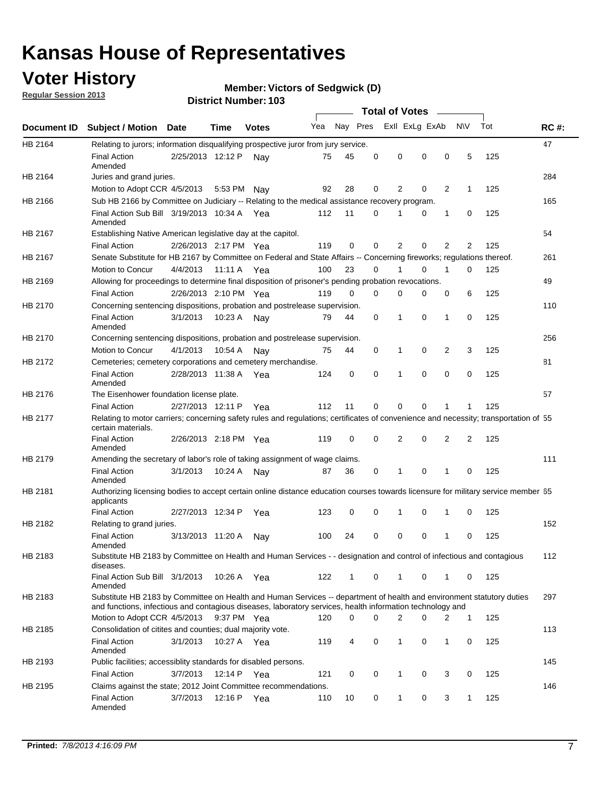## **Voter History**

**Regular Session 2013**

#### **Member: Victors of Sedgwick (D)**

|                    |                                                                                                                                                                                                                                    |                       |             | טטו דיסעוווואפו ויטו |              |              |          | <b>Total of Votes</b> |             | $\overline{\phantom{a}}$ |                |     |             |
|--------------------|------------------------------------------------------------------------------------------------------------------------------------------------------------------------------------------------------------------------------------|-----------------------|-------------|----------------------|--------------|--------------|----------|-----------------------|-------------|--------------------------|----------------|-----|-------------|
| <b>Document ID</b> | <b>Subject / Motion Date</b>                                                                                                                                                                                                       |                       | Time        | <b>Votes</b>         | Yea Nay Pres |              |          | Exll ExLg ExAb        |             |                          | <b>NV</b>      | Tot | <b>RC#:</b> |
| HB 2164            | Relating to jurors; information disqualifying prospective juror from jury service.                                                                                                                                                 |                       |             |                      |              |              |          |                       |             |                          |                |     | 47          |
|                    | <b>Final Action</b><br>Amended                                                                                                                                                                                                     | 2/25/2013 12:12 P     |             | Nav                  | 75           | 45           | 0        | 0                     | 0           | 0                        | 5              | 125 |             |
| HB 2164            | Juries and grand juries.                                                                                                                                                                                                           |                       |             |                      |              |              |          |                       |             |                          |                |     | 284         |
|                    | Motion to Adopt CCR 4/5/2013                                                                                                                                                                                                       |                       | 5:53 PM     | Nav                  | 92           | 28           | 0        | 2                     | 0           | 2                        | $\mathbf{1}$   | 125 |             |
| HB 2166            | Sub HB 2166 by Committee on Judiciary -- Relating to the medical assistance recovery program.                                                                                                                                      |                       |             |                      |              |              |          |                       |             |                          |                |     | 165         |
|                    | Final Action Sub Bill 3/19/2013 10:34 A Yea<br>Amended                                                                                                                                                                             |                       |             |                      | 112          | 11           | 0        | 1                     | 0           | 1                        | 0              | 125 |             |
| HB 2167            | Establishing Native American legislative day at the capitol.                                                                                                                                                                       |                       |             |                      |              |              |          |                       |             |                          |                |     | 54          |
|                    | <b>Final Action</b>                                                                                                                                                                                                                | 2/26/2013 2:17 PM Yea |             |                      | 119          | 0            | 0        | 2                     | 0           | 2                        | 2              | 125 |             |
| HB 2167            | Senate Substitute for HB 2167 by Committee on Federal and State Affairs -- Concerning fireworks; regulations thereof.                                                                                                              |                       |             |                      |              |              |          |                       |             |                          |                |     | 261         |
|                    | Motion to Concur                                                                                                                                                                                                                   | 4/4/2013              | 11:11 A Yea |                      | 100          | 23           | 0        | 1                     | 0           | 1                        | 0              | 125 |             |
| HB 2169            | Allowing for proceedings to determine final disposition of prisoner's pending probation revocations.                                                                                                                               |                       |             |                      |              |              |          |                       |             |                          |                |     | 49          |
|                    | <b>Final Action</b>                                                                                                                                                                                                                | 2/26/2013 2:10 PM Yea |             |                      | 119          | 0            | 0        | 0                     | 0           | 0                        | 6              | 125 |             |
| HB 2170            | Concerning sentencing dispositions, probation and postrelease supervision.                                                                                                                                                         |                       |             |                      |              |              |          |                       |             |                          |                |     | 110         |
|                    | <b>Final Action</b><br>Amended                                                                                                                                                                                                     | 3/1/2013              | 10:23 A     | Nay                  | 79           | 44           | 0        | 1                     | $\mathbf 0$ | 1                        | 0              | 125 |             |
| HB 2170            | Concerning sentencing dispositions, probation and postrelease supervision.                                                                                                                                                         |                       |             |                      |              |              |          |                       |             |                          |                |     | 256         |
|                    | Motion to Concur                                                                                                                                                                                                                   | 4/1/2013              | 10:54 A     | Nay                  | 75           | 44           | 0        | $\mathbf{1}$          | 0           | 2                        | 3              | 125 |             |
| HB 2172            | Cemeteries; cemetery corporations and cemetery merchandise.                                                                                                                                                                        |                       |             |                      |              |              |          |                       |             |                          |                |     | 81          |
|                    | <b>Final Action</b><br>Amended                                                                                                                                                                                                     | 2/28/2013 11:38 A Yea |             |                      | 124          | 0            | $\Omega$ | 1                     | $\Omega$    | 0                        | 0              | 125 |             |
| HB 2176            | The Eisenhower foundation license plate.                                                                                                                                                                                           |                       |             |                      |              |              |          |                       |             |                          |                |     | 57          |
|                    | <b>Final Action</b>                                                                                                                                                                                                                | 2/27/2013 12:11 P     |             | Yea                  | 112          | 11           | 0        | 0                     | 0           |                          | 1              | 125 |             |
| <b>HB 2177</b>     | Relating to motor carriers; concerning safety rules and regulations; certificates of convenience and necessity; transportation of 55<br>certain materials.                                                                         |                       |             |                      |              |              |          |                       |             |                          |                |     |             |
|                    | <b>Final Action</b><br>Amended                                                                                                                                                                                                     | 2/26/2013 2:18 PM Yea |             |                      | 119          | 0            | 0        | 2                     | 0           | 2                        | $\overline{2}$ | 125 |             |
| HB 2179            | Amending the secretary of labor's role of taking assignment of wage claims.                                                                                                                                                        |                       |             |                      |              |              |          |                       |             |                          |                |     | 111         |
|                    | <b>Final Action</b><br>Amended                                                                                                                                                                                                     | 3/1/2013              | 10:24 A     | Nav                  | 87           | 36           | 0        | 1                     | 0           |                          | 0              | 125 |             |
| HB 2181            | Authorizing licensing bodies to accept certain online distance education courses towards licensure for military service member 55<br>applicants                                                                                    |                       |             |                      |              |              |          |                       |             |                          |                |     |             |
|                    | <b>Final Action</b>                                                                                                                                                                                                                | 2/27/2013 12:34 P     |             | Yea                  | 123          | 0            | 0        | 1                     | 0           | 1                        | 0              | 125 |             |
| HB 2182            | Relating to grand juries.                                                                                                                                                                                                          |                       |             |                      |              |              |          |                       |             |                          |                |     | 152         |
|                    | <b>Final Action</b><br>Amended                                                                                                                                                                                                     | 3/13/2013 11:20 A     |             | Nav                  | 100          | 24           | 0        | 0                     | 0           | 1                        | 0              | 125 |             |
| HB 2183            | Substitute HB 2183 by Committee on Health and Human Services - - designation and control of infectious and contagious<br>diseases.                                                                                                 |                       |             |                      |              |              |          |                       |             |                          |                |     | 112         |
|                    | Final Action Sub Bill 3/1/2013<br>Amended                                                                                                                                                                                          |                       |             | 10:26 A Yea          | 122          | $\mathbf{1}$ | 0        | 1                     | 0           | 1                        | 0              | 125 |             |
| HB 2183            | Substitute HB 2183 by Committee on Health and Human Services -- department of health and environment statutory duties<br>and functions, infectious and contagious diseases, laboratory services, health information technology and |                       |             |                      |              |              |          |                       |             |                          |                |     | 297         |
|                    | Motion to Adopt CCR 4/5/2013                                                                                                                                                                                                       |                       | 9:37 PM Yea |                      | 120          | 0            | 0        | 2                     | 0           | 2                        | $\mathbf{1}$   | 125 |             |
| HB 2185            | Consolidation of citites and counties; dual majority vote.                                                                                                                                                                         |                       |             |                      |              |              |          |                       |             |                          |                |     | 113         |
|                    | <b>Final Action</b><br>Amended                                                                                                                                                                                                     | 3/1/2013              |             | 10:27 A Yea          | 119          | 4            | 0        | 1                     | 0           | 1                        | 0              | 125 |             |
| HB 2193            | Public facilities; accessiblity standards for disabled persons.                                                                                                                                                                    |                       |             |                      |              |              |          |                       |             |                          |                |     | 145         |
|                    | <b>Final Action</b>                                                                                                                                                                                                                | 3/7/2013              | 12:14 P     | Yea                  | 121          | 0            | 0        | 1                     | 0           | 3                        | 0              | 125 |             |
| HB 2195            | Claims against the state; 2012 Joint Committee recommendations.                                                                                                                                                                    |                       |             |                      |              |              |          |                       |             |                          |                |     | 146         |
|                    | <b>Final Action</b><br>Amended                                                                                                                                                                                                     | 3/7/2013              | 12:16 P Yea |                      | 110          | 10           | 0        | $\mathbf{1}$          | 0           | 3                        | $\mathbf{1}$   | 125 |             |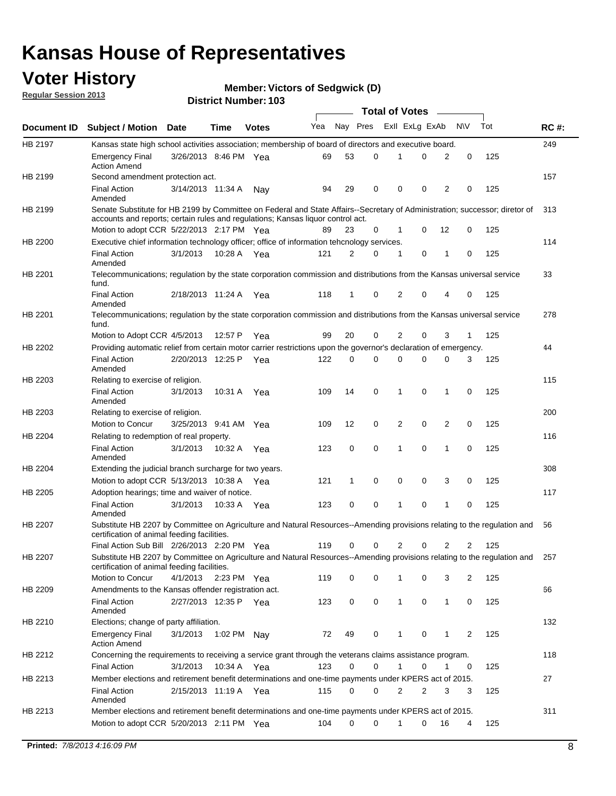## **Voter History**

**Member: Victors of Sedgwick (D)** 

**Regular Session 2013**

|                |                                                                                                                                                                             |                       |             |              |     |             |   | <b>Total of Votes</b> |   |                |              |     |             |
|----------------|-----------------------------------------------------------------------------------------------------------------------------------------------------------------------------|-----------------------|-------------|--------------|-----|-------------|---|-----------------------|---|----------------|--------------|-----|-------------|
| Document ID    | <b>Subject / Motion Date</b>                                                                                                                                                |                       | Time        | <b>Votes</b> | Yea | Nay Pres    |   | Exll ExLg ExAb        |   |                | <b>NV</b>    | Tot | <b>RC#:</b> |
| HB 2197        | Kansas state high school activities association; membership of board of directors and executive board.                                                                      |                       |             |              |     |             |   |                       |   |                |              |     | 249         |
|                | <b>Emergency Final</b><br><b>Action Amend</b>                                                                                                                               | 3/26/2013 8:46 PM Yea |             |              | 69  | 53          | 0 |                       | 0 | 2              | 0            | 125 |             |
| HB 2199        | Second amendment protection act.                                                                                                                                            |                       |             |              |     |             |   |                       |   |                |              |     | 157         |
|                | <b>Final Action</b><br>Amended                                                                                                                                              | 3/14/2013 11:34 A     |             | Nav          | 94  | 29          | 0 | 0                     | 0 | 2              | 0            | 125 |             |
| HB 2199        | Senate Substitute for HB 2199 by Committee on Federal and State Affairs--Secretary of Administration; successor; diretor of                                                 |                       |             |              |     |             |   |                       |   |                |              |     | 313         |
|                | accounts and reports; certain rules and regulations; Kansas liguor control act.                                                                                             |                       |             |              |     |             |   |                       |   |                |              |     |             |
|                | Motion to adopt CCR 5/22/2013 2:17 PM Yea                                                                                                                                   |                       |             |              | 89  | 23          | 0 | 1                     | 0 | 12             | 0            | 125 |             |
| HB 2200        | Executive chief information technology officer; office of information tehcnology services.                                                                                  |                       |             |              |     |             |   |                       |   |                |              |     | 114         |
|                | <b>Final Action</b><br>Amended                                                                                                                                              | 3/1/2013              | 10:28 A     | Yea          | 121 | 2           | 0 | 1                     | 0 | 1              | 0            | 125 |             |
| HB 2201        | Telecommunications; regulation by the state corporation commission and distributions from the Kansas universal service<br>fund.                                             |                       |             |              |     |             |   |                       |   |                |              |     | 33          |
|                | <b>Final Action</b><br>Amended                                                                                                                                              | 2/18/2013 11:24 A     |             | Yea          | 118 | 1           | 0 | 2                     | 0 | 4              | 0            | 125 |             |
| HB 2201        | Telecommunications; regulation by the state corporation commission and distributions from the Kansas universal service<br>fund.                                             |                       |             |              |     |             |   |                       |   |                |              |     | 278         |
|                | Motion to Adopt CCR 4/5/2013                                                                                                                                                |                       | 12:57 P     | Yea          | 99  | 20          | 0 | 2                     | 0 | 3              | $\mathbf{1}$ | 125 |             |
| HB 2202        | Providing automatic relief from certain motor carrier restrictions upon the governor's declaration of emergency.                                                            |                       |             |              |     |             |   |                       |   |                |              |     | 44          |
|                | <b>Final Action</b><br>Amended                                                                                                                                              | 2/20/2013 12:25 P     |             | Yea          | 122 | 0           | 0 | 0                     | 0 | 0              | 3            | 125 |             |
| HB 2203        | Relating to exercise of religion.                                                                                                                                           |                       |             |              |     |             |   |                       |   |                |              |     | 115         |
|                | <b>Final Action</b><br>Amended                                                                                                                                              | 3/1/2013              | 10:31 A     | Yea          | 109 | 14          | 0 | 1                     | 0 | 1              | 0            | 125 |             |
| HB 2203        | Relating to exercise of religion.                                                                                                                                           |                       |             |              |     |             |   |                       |   |                |              |     | 200         |
|                | Motion to Concur                                                                                                                                                            | 3/25/2013 9:41 AM     |             | Yea          | 109 | 12          | 0 | 2                     | 0 | 2              | 0            | 125 |             |
| HB 2204        | Relating to redemption of real property.                                                                                                                                    |                       |             |              |     |             |   |                       |   |                |              |     | 116         |
|                | <b>Final Action</b><br>Amended                                                                                                                                              | 3/1/2013              | 10:32 A     | Yea          | 123 | $\mathbf 0$ | 0 | 1                     | 0 | $\mathbf{1}$   | 0            | 125 |             |
| HB 2204        | Extending the judicial branch surcharge for two years.                                                                                                                      |                       |             |              |     |             |   |                       |   |                |              |     | 308         |
|                | Motion to adopt CCR 5/13/2013 10:38 A Yea                                                                                                                                   |                       |             |              | 121 | 1           | 0 | 0                     | 0 | 3              | 0            | 125 |             |
| HB 2205        | Adoption hearings; time and waiver of notice.                                                                                                                               |                       |             |              |     |             |   |                       |   |                |              |     | 117         |
|                | <b>Final Action</b><br>Amended                                                                                                                                              | 3/1/2013              | 10:33 A Yea |              | 123 | 0           | 0 | 1                     | 0 | 1              | 0            | 125 |             |
| HB 2207        | Substitute HB 2207 by Committee on Agriculture and Natural Resources--Amending provisions relating to the regulation and<br>certification of animal feeding facilities.     |                       |             |              |     |             |   |                       |   |                |              |     | 56          |
|                | Final Action Sub Bill 2/26/2013 2:20 PM Yea                                                                                                                                 |                       |             |              | 119 | 0           | 0 | 2                     | 0 | $\overline{2}$ | 2            | 125 |             |
| <b>HB 2207</b> | Substitute HB 2207 by Committee on Agriculture and Natural Resources--Amending provisions relating to the regulation and 257<br>certification of animal feeding facilities. |                       |             |              |     |             |   |                       |   |                |              |     |             |
|                | Motion to Concur                                                                                                                                                            | 4/1/2013              | 2:23 PM Yea |              | 119 | 0           | 0 | 1                     | 0 | 3              | 2            | 125 |             |
| HB 2209        | Amendments to the Kansas offender registration act.                                                                                                                         |                       |             |              |     |             |   |                       |   |                |              |     | 66          |
|                | <b>Final Action</b><br>Amended                                                                                                                                              | 2/27/2013 12:35 P Yea |             |              | 123 | 0           | 0 | $\mathbf{1}$          | 0 | $\mathbf{1}$   | 0            | 125 |             |
| HB 2210        | Elections; change of party affiliation.                                                                                                                                     |                       |             |              |     |             |   |                       |   |                |              |     | 132         |
|                | <b>Emergency Final</b><br><b>Action Amend</b>                                                                                                                               | 3/1/2013              | 1:02 PM Nay |              | 72  | 49          | 0 |                       | 0 | 1              | 2            | 125 |             |
| HB 2212        | Concerning the requirements to receiving a service grant through the veterans claims assistance program.                                                                    |                       |             |              |     |             |   |                       |   |                |              |     | 118         |
|                | <b>Final Action</b>                                                                                                                                                         | 3/1/2013              | 10:34 A Yea |              | 123 | 0           | 0 | $\mathbf{1}$          | 0 | 1              | 0            | 125 |             |
| HB 2213        | Member elections and retirement benefit determinations and one-time payments under KPERS act of 2015.                                                                       |                       |             |              |     |             |   |                       |   |                |              |     | 27          |
|                | <b>Final Action</b><br>Amended                                                                                                                                              | 2/15/2013 11:19 A Yea |             |              | 115 | 0           | 0 | 2                     | 2 | 3              | 3            | 125 |             |
| HB 2213        | Member elections and retirement benefit determinations and one-time payments under KPERS act of 2015.                                                                       |                       |             |              |     |             |   |                       |   |                |              |     | 311         |
|                | Motion to adopt CCR 5/20/2013 2:11 PM Yea                                                                                                                                   |                       |             |              | 104 | $\Omega$    | 0 | 1                     | 0 | 16             | 4            | 125 |             |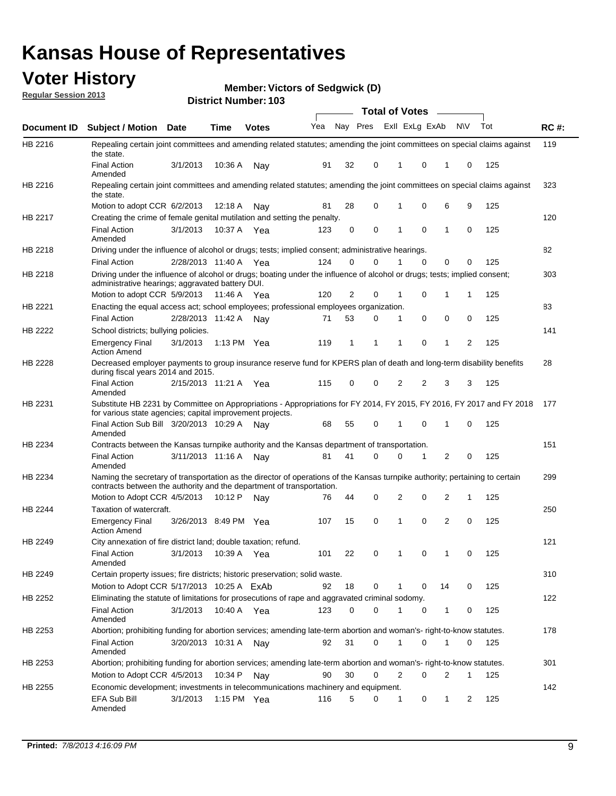## **Voter History**

**Member: Victors of Sedgwick (D)** 

**Regular Session 2013**

|                    |                                                                                                                                                                                                       |                       |         | טטו דיסוווווטרו ויטוווט |              |    |   | <b>Total of Votes</b> |   | $\sim$         |           |     |     |
|--------------------|-------------------------------------------------------------------------------------------------------------------------------------------------------------------------------------------------------|-----------------------|---------|-------------------------|--------------|----|---|-----------------------|---|----------------|-----------|-----|-----|
| <b>Document ID</b> | <b>Subject / Motion Date</b>                                                                                                                                                                          |                       | Time    | <b>Votes</b>            | Yea Nay Pres |    |   | Exll ExLg ExAb        |   |                | <b>NV</b> | Tot | RC# |
| HB 2216            | Repealing certain joint committees and amending related statutes; amending the joint committees on special claims against<br>the state.                                                               |                       |         |                         |              |    |   |                       |   |                |           |     | 119 |
|                    | <b>Final Action</b><br>Amended                                                                                                                                                                        | 3/1/2013              | 10:36 A | Nay                     | 91           | 32 | 0 | 1                     | 0 | 1              | 0         | 125 |     |
| HB 2216            | Repealing certain joint committees and amending related statutes; amending the joint committees on special claims against<br>the state.                                                               |                       |         |                         |              |    |   |                       |   |                |           |     | 323 |
|                    | Motion to adopt CCR 6/2/2013                                                                                                                                                                          |                       | 12:18 A | Nav                     | 81           | 28 | 0 | 1                     | 0 | 6              | 9         | 125 |     |
| HB 2217            | Creating the crime of female genital mutilation and setting the penalty.                                                                                                                              |                       |         |                         |              |    |   |                       |   |                |           |     | 120 |
|                    | <b>Final Action</b><br>Amended                                                                                                                                                                        | 3/1/2013              |         | 10:37 A Yea             | 123          | 0  | 0 | 1                     | 0 | $\mathbf{1}$   | 0         | 125 |     |
| HB 2218            | Driving under the influence of alcohol or drugs; tests; implied consent; administrative hearings.                                                                                                     |                       |         |                         |              |    |   |                       |   |                |           |     | 82  |
|                    | <b>Final Action</b>                                                                                                                                                                                   | 2/28/2013 11:40 A     |         | Yea                     | 124          | 0  | 0 |                       | 0 | 0              | 0         | 125 |     |
| HB 2218            | Driving under the influence of alcohol or drugs; boating under the influence of alcohol or drugs; tests; implied consent;<br>administrative hearings; aggravated battery DUI.                         |                       |         |                         |              |    |   |                       |   |                |           |     | 303 |
|                    | Motion to adopt CCR 5/9/2013                                                                                                                                                                          |                       | 11:46 A | Yea                     | 120          | 2  | 0 | 1                     | 0 | 1              | 1         | 125 |     |
| HB 2221            | Enacting the equal access act; school employees; professional employees organization.                                                                                                                 |                       |         |                         |              |    |   |                       |   |                |           |     | 83  |
|                    | <b>Final Action</b>                                                                                                                                                                                   | 2/28/2013 11:42 A     |         | Nav                     | 71           | 53 | 0 | 1                     | 0 | 0              | 0         | 125 |     |
| HB 2222            | School districts; bullying policies.                                                                                                                                                                  |                       |         |                         |              |    |   |                       |   |                |           |     | 141 |
|                    | <b>Emergency Final</b><br><b>Action Amend</b>                                                                                                                                                         | 3/1/2013              |         | 1:13 PM $Yea$           | 119          | 1  | 1 | 1                     | 0 | 1              | 2         | 125 |     |
| <b>HB 2228</b>     | Decreased employer payments to group insurance reserve fund for KPERS plan of death and long-term disability benefits<br>during fiscal years 2014 and 2015.                                           |                       |         |                         |              |    |   |                       |   |                |           |     | 28  |
|                    | <b>Final Action</b><br>Amended                                                                                                                                                                        | 2/15/2013 11:21 A     |         | Yea                     | 115          | 0  | 0 | 2                     | 2 | 3              | 3         | 125 |     |
| HB 2231            | Substitute HB 2231 by Committee on Appropriations - Appropriations for FY 2014, FY 2015, FY 2016, FY 2017 and FY 2018<br>for various state agencies; capital improvement projects.                    |                       |         |                         |              |    |   |                       |   |                |           |     | 177 |
|                    | Final Action Sub Bill 3/20/2013 10:29 A<br>Amended                                                                                                                                                    |                       |         | Nav                     | 68           | 55 | 0 |                       | 0 | 1              | 0         | 125 |     |
| HB 2234            | Contracts between the Kansas turnpike authority and the Kansas department of transportation.                                                                                                          |                       |         |                         |              |    |   |                       |   |                |           |     | 151 |
|                    | <b>Final Action</b><br>Amended                                                                                                                                                                        | 3/11/2013 11:16 A     |         | Nav                     | 81           | 41 | 0 | 0                     | 1 | $\overline{2}$ | 0         | 125 |     |
| HB 2234            | Naming the secretary of transportation as the director of operations of the Kansas turnpike authority; pertaining to certain<br>contracts between the authority and the department of transportation. |                       |         |                         |              |    |   |                       |   |                |           |     | 299 |
|                    | Motion to Adopt CCR 4/5/2013                                                                                                                                                                          |                       | 10:12 P | Nav                     | 76           | 44 | 0 | 2                     | 0 | 2              | 1         | 125 |     |
| <b>HB 2244</b>     | Taxation of watercraft.<br><b>Emergency Final</b>                                                                                                                                                     | 3/26/2013 8:49 PM Yea |         |                         | 107          | 15 | 0 | 1                     | 0 | 2              | 0         | 125 | 250 |
|                    | <b>Action Amend</b>                                                                                                                                                                                   |                       |         |                         |              |    |   |                       |   |                |           |     |     |
| HB 2249            | City annexation of fire district land; double taxation; refund.                                                                                                                                       |                       |         |                         |              |    |   |                       |   |                |           |     | 121 |
|                    | Final Action 3/1/2013 10:39 A Yea<br>Amended                                                                                                                                                          |                       |         |                         | 101          | 22 | 0 | $\mathbf{1}$          | 0 | $\mathbf{1}$   | 0         | 125 |     |
| HB 2249            | Certain property issues; fire districts; historic preservation; solid waste.                                                                                                                          |                       |         |                         |              |    |   |                       |   |                |           |     | 310 |
|                    | Motion to Adopt CCR 5/17/2013 10:25 A FxAb                                                                                                                                                            |                       |         |                         | 92           | 18 | 0 | 1                     | 0 | 14             | 0         | 125 |     |
| HB 2252            | Eliminating the statute of limitations for prosecutions of rape and aggravated criminal sodomy.                                                                                                       |                       |         |                         |              |    |   |                       |   |                |           |     | 122 |
|                    | <b>Final Action</b>                                                                                                                                                                                   |                       |         | 10:40 A Yea             | 123          | 0  | 0 |                       | 0 | 1              | 0         |     |     |
|                    | Amended                                                                                                                                                                                               | 3/1/2013              |         |                         |              |    |   |                       |   |                |           | 125 |     |
| HB 2253            | Abortion; prohibiting funding for abortion services; amending late-term abortion and woman's- right-to-know statutes.                                                                                 |                       |         |                         |              |    |   |                       |   |                |           |     | 178 |
|                    | <b>Final Action</b><br>Amended                                                                                                                                                                        | 3/20/2013 10:31 A     |         | Nav                     | 92           | 31 | 0 | 1                     | 0 | 1              | 0         | 125 |     |
| HB 2253            | Abortion; prohibiting funding for abortion services; amending late-term abortion and woman's- right-to-know statutes.                                                                                 |                       |         |                         |              |    |   |                       |   |                |           |     | 301 |
|                    | Motion to Adopt CCR 4/5/2013                                                                                                                                                                          |                       | 10:34 P | Nav                     | 90           | 30 | 0 | 2                     | 0 | 2              | 1         | 125 |     |
| HB 2255            | Economic development; investments in telecommunications machinery and equipment.                                                                                                                      |                       |         |                         |              |    |   |                       |   |                |           |     | 142 |
|                    | EFA Sub Bill<br>Amended                                                                                                                                                                               | 3/1/2013              |         | 1:15 PM $Yea$           | 116          | 5  | 0 | -1                    | 0 | 1              | 2         | 125 |     |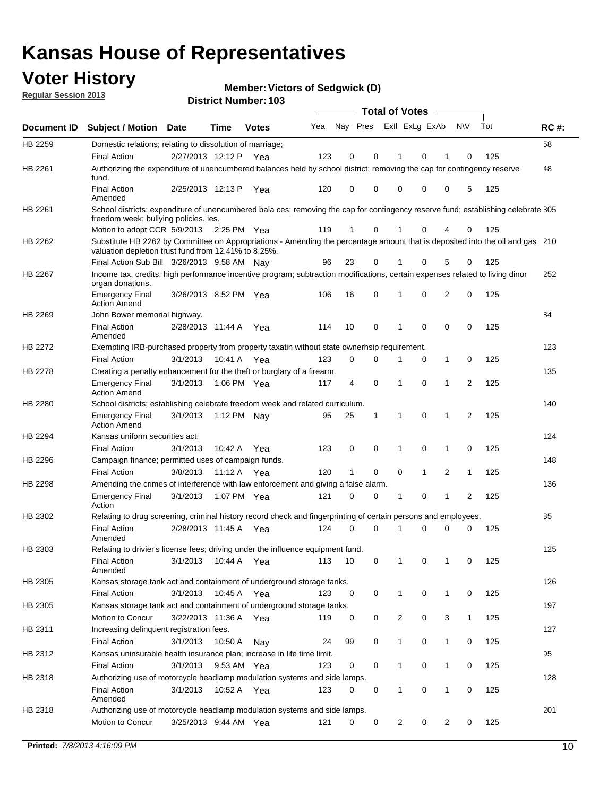## **Voter History**

**Member: Victors of Sedgwick (D)** 

**Regular Session 2013**

|             |                                                                                                                                                                                       |                       |             | טטו ויטשווווער ויטוווט |     |                         |             | <b>Total of Votes</b> |              | $\overline{\phantom{a}}$ |              |     |             |
|-------------|---------------------------------------------------------------------------------------------------------------------------------------------------------------------------------------|-----------------------|-------------|------------------------|-----|-------------------------|-------------|-----------------------|--------------|--------------------------|--------------|-----|-------------|
| Document ID | <b>Subject / Motion Date</b>                                                                                                                                                          |                       | <b>Time</b> | <b>Votes</b>           | Yea | Nay Pres Exll ExLg ExAb |             |                       |              |                          | <b>NV</b>    | Tot | <b>RC#:</b> |
| HB 2259     | Domestic relations; relating to dissolution of marriage;                                                                                                                              |                       |             |                        |     |                         |             |                       |              |                          |              |     | 58          |
|             | <b>Final Action</b>                                                                                                                                                                   | 2/27/2013 12:12 P     |             | Yea                    | 123 | 0                       | 0           | 1                     | 0            | 1                        | $\Omega$     | 125 |             |
| HB 2261     | Authorizing the expenditure of unencumbered balances held by school district; removing the cap for contingency reserve<br>fund.                                                       |                       |             |                        |     |                         |             |                       |              |                          |              |     | 48          |
|             | <b>Final Action</b><br>Amended                                                                                                                                                        | 2/25/2013 12:13 P     |             | Yea                    | 120 | 0                       | 0           | 0                     | 0            | 0                        | 5            | 125 |             |
| HB 2261     | School districts; expenditure of unencumbered bala ces; removing the cap for contingency reserve fund; establishing celebrate 305<br>freedom week; bullying policies. ies.            |                       |             |                        |     |                         |             |                       |              |                          |              |     |             |
|             | Motion to adopt CCR 5/9/2013                                                                                                                                                          |                       | 2:25 PM Yea |                        | 119 | 1                       | 0           |                       | 0            | 4                        | 0            | 125 |             |
| HB 2262     | Substitute HB 2262 by Committee on Appropriations - Amending the percentage amount that is deposited into the oil and gas 210<br>valuation depletion trust fund from 12.41% to 8.25%. |                       |             |                        |     |                         |             |                       |              |                          |              |     |             |
|             | Final Action Sub Bill 3/26/2013 9:58 AM Nay                                                                                                                                           |                       |             |                        | 96  | 23                      | 0           |                       | 0            | 5                        | 0            | 125 |             |
| HB 2267     | Income tax, credits, high performance incentive program; subtraction modifications, certain expenses related to living dinor<br>organ donations.                                      |                       |             |                        |     |                         |             |                       |              |                          |              |     | 252         |
|             | <b>Emergency Final</b><br><b>Action Amend</b>                                                                                                                                         | 3/26/2013 8:52 PM Yea |             |                        | 106 | 16                      | 0           | 1                     | 0            | 2                        | 0            | 125 |             |
| HB 2269     | John Bower memorial highway.                                                                                                                                                          |                       |             |                        |     |                         |             |                       |              |                          |              |     | 84          |
|             | <b>Final Action</b><br>Amended                                                                                                                                                        | 2/28/2013 11:44 A Yea |             |                        | 114 | 10                      | 0           | 1                     | 0            | 0                        | 0            | 125 |             |
| HB 2272     | Exempting IRB-purchased property from property taxatin without state ownerhsip requirement.                                                                                           |                       |             |                        |     |                         |             |                       |              |                          |              |     | 123         |
|             | <b>Final Action</b>                                                                                                                                                                   | 3/1/2013              | 10:41 A     | Yea                    | 123 | 0                       | 0           | 1                     | 0            | $\mathbf{1}$             | 0            | 125 |             |
| HB 2278     | Creating a penalty enhancement for the theft or burglary of a firearm.                                                                                                                |                       |             |                        |     |                         |             |                       |              |                          |              |     | 135         |
|             | <b>Emergency Final</b><br><b>Action Amend</b>                                                                                                                                         | 3/1/2013              | 1:06 PM Yea |                        | 117 | 4                       | $\mathbf 0$ | 1                     | 0            | 1                        | 2            | 125 |             |
| HB 2280     | School districts; establishing celebrate freedom week and related curriculum.                                                                                                         |                       |             |                        |     |                         |             |                       |              |                          |              |     | 140         |
|             | <b>Emergency Final</b><br><b>Action Amend</b>                                                                                                                                         | 3/1/2013              | 1:12 PM Nav |                        | 95  | 25                      | 1           | 1                     | 0            | 1                        | 2            | 125 |             |
| HB 2294     | Kansas uniform securities act.                                                                                                                                                        |                       |             |                        |     |                         |             |                       |              |                          |              |     | 124         |
|             | <b>Final Action</b>                                                                                                                                                                   | 3/1/2013              | 10:42 A     | Yea                    | 123 | 0                       | 0           | 1                     | 0            | 1                        | 0            | 125 |             |
| HB 2296     | Campaign finance; permitted uses of campaign funds.                                                                                                                                   |                       |             |                        |     |                         |             |                       |              |                          |              |     | 148         |
|             | <b>Final Action</b>                                                                                                                                                                   | 3/8/2013              | 11:12 A Yea |                        | 120 | $\mathbf{1}$            | 0           | 0                     | $\mathbf{1}$ | 2                        | $\mathbf{1}$ | 125 |             |
| HB 2298     | Amending the crimes of interference with law enforcement and giving a false alarm.                                                                                                    |                       |             |                        |     |                         |             |                       |              |                          |              |     | 136         |
|             | <b>Emergency Final</b><br>Action                                                                                                                                                      | 3/1/2013              | 1:07 PM Yea |                        | 121 | 0                       | 0           | 1                     | 0            | 1                        | 2            | 125 |             |
| HB 2302     | Relating to drug screening, criminal history record check and fingerprinting of certain persons and employees.                                                                        |                       |             |                        |     |                         |             |                       |              |                          |              |     | 85          |
|             | <b>Final Action</b><br>Amended                                                                                                                                                        | 2/28/2013 11:45 A     |             | Yea                    | 124 | 0                       | $\Omega$    | 1                     | 0            | 0                        | $\mathbf 0$  | 125 |             |
| HB 2303     | Relating to drivier's license fees; driving under the influence equipment fund.                                                                                                       |                       |             |                        |     |                         |             |                       |              |                          |              |     | 125         |
|             | <b>Final Action</b><br>Amended                                                                                                                                                        | 3/1/2013              | 10:44 A     | Yea                    | 113 | 10                      | 0           | 1                     | 0            | 1                        | 0            | 125 |             |
| HB 2305     | Kansas storage tank act and containment of underground storage tanks.                                                                                                                 |                       |             |                        |     |                         |             |                       |              |                          |              |     | 126         |
|             | <b>Final Action</b>                                                                                                                                                                   | 3/1/2013              | 10:45 A     | Yea                    | 123 | 0                       | 0           | 1                     | 0            | 1                        | 0            | 125 |             |
| HB 2305     | Kansas storage tank act and containment of underground storage tanks.                                                                                                                 |                       |             |                        |     |                         |             |                       |              |                          |              |     | 197         |
|             | Motion to Concur                                                                                                                                                                      | 3/22/2013 11:36 A     |             | Yea                    | 119 | 0                       | 0           | 2                     | 0            | 3                        | $\mathbf{1}$ | 125 |             |
| HB 2311     | Increasing delinquent registration fees.                                                                                                                                              |                       |             |                        |     |                         |             |                       |              |                          |              |     | 127         |
|             | <b>Final Action</b>                                                                                                                                                                   | 3/1/2013              | 10:50 A     | Nay                    | 24  | 99                      | 0           | $\mathbf{1}$          | 0            | 1                        | 0            | 125 |             |
| HB 2312     | Kansas uninsurable health insurance plan; increase in life time limit.                                                                                                                |                       |             |                        |     |                         |             |                       |              |                          |              |     | 95          |
|             | <b>Final Action</b>                                                                                                                                                                   | 3/1/2013              | 9:53 AM Yea |                        | 123 | 0                       | 0           | 1                     | 0            | 1                        | 0            | 125 |             |
| HB 2318     | Authorizing use of motorcycle headlamp modulation systems and side lamps.                                                                                                             |                       |             |                        |     |                         |             |                       |              |                          |              |     | 128         |
|             | <b>Final Action</b><br>Amended                                                                                                                                                        | 3/1/2013              | 10:52 A     | Yea                    | 123 | 0                       | 0           | 1                     | 0            | 1                        | 0            | 125 |             |
| HB 2318     | Authorizing use of motorcycle headlamp modulation systems and side lamps.                                                                                                             |                       |             |                        |     |                         |             |                       |              |                          |              |     | 201         |
|             | Motion to Concur                                                                                                                                                                      | 3/25/2013 9:44 AM Yea |             |                        | 121 | 0                       | 0           | 2                     | 0            | 2                        | 0            | 125 |             |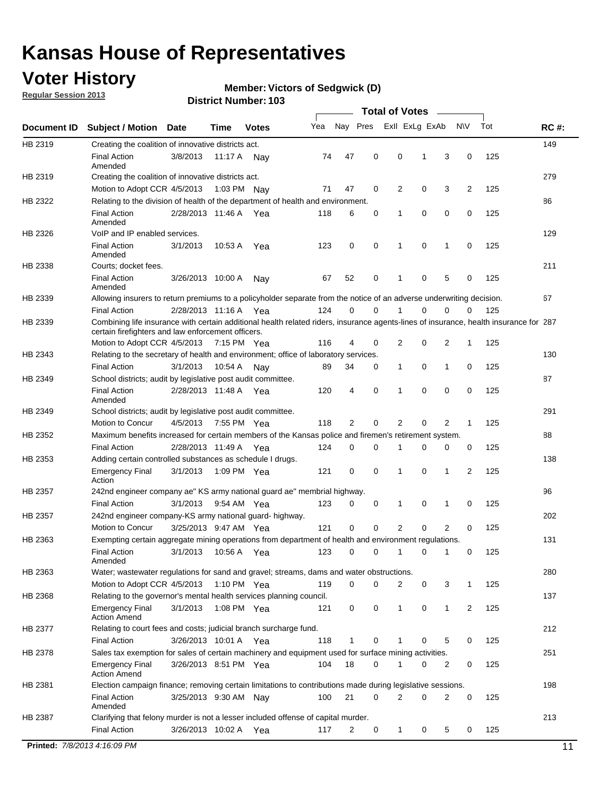## **Voter History**

**Regular Session 2013**

#### **Member: Victors of Sedgwick (D)**

|             |                                                                                                                                                                                             |                       |             |              |     |             |             | <b>Total of Votes</b> |   |                |           |     |             |
|-------------|---------------------------------------------------------------------------------------------------------------------------------------------------------------------------------------------|-----------------------|-------------|--------------|-----|-------------|-------------|-----------------------|---|----------------|-----------|-----|-------------|
| Document ID | <b>Subject / Motion</b>                                                                                                                                                                     | Date                  | Time        | <b>Votes</b> | Yea | Nay Pres    |             | Exll ExLg ExAb        |   |                | <b>NV</b> | Tot | <b>RC#:</b> |
| HB 2319     | Creating the coalition of innovative districts act.                                                                                                                                         |                       |             |              |     |             |             |                       |   |                |           |     | 149         |
|             | <b>Final Action</b><br>Amended                                                                                                                                                              | 3/8/2013              | 11:17 A     | Nav          | 74  | 47          | 0           | 0                     | 1 | 3              | 0         | 125 |             |
| HB 2319     | Creating the coalition of innovative districts act.                                                                                                                                         |                       |             |              |     |             |             |                       |   |                |           |     | 279         |
|             | Motion to Adopt CCR 4/5/2013                                                                                                                                                                |                       | 1:03 PM Nay |              | 71  | 47          | 0           | 2                     | 0 | 3              | 2         | 125 |             |
| HB 2322     | Relating to the division of health of the department of health and environment.                                                                                                             |                       |             |              |     |             |             |                       |   |                |           |     | 86          |
|             | <b>Final Action</b><br>Amended                                                                                                                                                              | 2/28/2013 11:46 A Yea |             |              | 118 | 6           | 0           | 1                     | 0 | 0              | 0         | 125 |             |
| HB 2326     | VoIP and IP enabled services.                                                                                                                                                               |                       |             |              |     |             |             |                       |   |                |           |     | 129         |
|             | <b>Final Action</b><br>Amended                                                                                                                                                              | 3/1/2013              | 10:53 A     | Yea          | 123 | 0           | 0           | $\mathbf{1}$          | 0 | 1              | 0         | 125 |             |
| HB 2338     | Courts; docket fees.                                                                                                                                                                        |                       |             |              |     |             |             |                       |   |                |           |     | 211         |
|             | <b>Final Action</b><br>Amended                                                                                                                                                              | 3/26/2013 10:00 A     |             | Nav          | 67  | 52          | 0           | 1                     | 0 | 5              | 0         | 125 |             |
| HB 2339     | Allowing insurers to return premiums to a policyholder separate from the notice of an adverse underwriting decision.                                                                        |                       |             |              |     |             |             |                       |   |                |           |     | 67          |
|             | <b>Final Action</b>                                                                                                                                                                         | 2/28/2013 11:16 A Yea |             |              | 124 | 0           | 0           |                       | 0 | 0              | 0         | 125 |             |
| HB 2339     | Combining life insurance with certain additional health related riders, insurance agents-lines of insurance, health insurance for 287<br>certain firefighters and law enforcement officers. |                       |             |              |     |             |             |                       |   |                |           |     |             |
|             | Motion to Adopt CCR 4/5/2013 7:15 PM Yea                                                                                                                                                    |                       |             |              | 116 | 4           | 0           | 2                     | 0 | 2              | -1        | 125 |             |
| HB 2343     | Relating to the secretary of health and environment; office of laboratory services.                                                                                                         |                       |             |              |     |             |             |                       |   |                |           |     | 130         |
|             | <b>Final Action</b>                                                                                                                                                                         | 3/1/2013              | 10:54 A     | Nav          | 89  | 34          | 0           | 1                     | 0 | 1              | 0         | 125 |             |
| HB 2349     | School districts; audit by legislative post audit committee.                                                                                                                                |                       |             |              |     |             |             |                       |   |                |           |     | 87          |
|             | <b>Final Action</b><br>Amended                                                                                                                                                              | 2/28/2013 11:48 A Yea |             |              | 120 | 4           | $\mathbf 0$ | 1                     | 0 | 0              | 0         | 125 |             |
| HB 2349     | School districts; audit by legislative post audit committee.                                                                                                                                |                       |             |              |     |             |             |                       |   |                |           |     | 291         |
|             | Motion to Concur                                                                                                                                                                            | 4/5/2013              | 7:55 PM Yea |              | 118 | 2           | $\mathbf 0$ | 2                     | 0 | 2              | 1         | 125 |             |
| HB 2352     | Maximum benefits increased for certain members of the Kansas police and firemen's retirement system.                                                                                        |                       |             |              |     |             |             |                       |   |                |           |     | 88          |
|             | <b>Final Action</b>                                                                                                                                                                         | 2/28/2013 11:49 A     |             | Yea          | 124 | 0           | 0           | 1                     | 0 | 0              | 0         | 125 |             |
| HB 2353     | Adding certain controlled substances as schedule I drugs.                                                                                                                                   |                       |             |              |     |             |             |                       |   |                |           |     | 138         |
|             | <b>Emergency Final</b><br>Action                                                                                                                                                            | 3/1/2013              | 1:09 PM Yea |              | 121 | 0           | 0           | 1                     | 0 | 1              | 2         | 125 |             |
| HB 2357     | 242nd engineer company ae" KS army national guard ae" membrial highway.                                                                                                                     |                       |             |              |     |             |             |                       |   |                |           |     | 96          |
|             | <b>Final Action</b>                                                                                                                                                                         | 3/1/2013              | 9:54 AM Yea |              | 123 | 0           | 0           | 1                     | 0 | 1              | 0         | 125 |             |
| HB 2357     | 242nd engineer company-KS army national guard- highway.                                                                                                                                     |                       |             |              |     |             |             |                       |   |                |           |     | 202         |
|             | Motion to Concur                                                                                                                                                                            | 3/25/2013 9:47 AM Yea |             |              | 121 | $\mathbf 0$ | $\mathbf 0$ | $\overline{2}$        | 0 | $\overline{2}$ | 0         | 125 |             |
| HB 2363     | Exempting certain aggregate mining operations from department of health and environment regulations.                                                                                        |                       |             |              |     |             |             |                       |   |                |           |     | 131         |
|             | <b>Final Action</b><br>Amended                                                                                                                                                              | 3/1/2013              | 10:56 A     | Yea          | 123 | 0           | 0           | 1                     | 0 | 1              | 0         | 125 |             |
| HB 2363     | Water; wastewater regulations for sand and gravel; streams, dams and water obstructions.                                                                                                    |                       |             |              |     |             |             |                       |   |                |           |     | 280         |
|             | Motion to Adopt CCR 4/5/2013                                                                                                                                                                |                       | 1:10 PM Yea |              | 119 | 0           | 0           | 2                     | 0 | 3              |           | 125 |             |
| HB 2368     | Relating to the governor's mental health services planning council.<br>Emergency Final                                                                                                      | 3/1/2013              | 1:08 PM Yea |              | 121 | 0           | 0           | $\mathbf{1}$          | 0 | 1              | 2         | 125 | 137         |
| HB 2377     | <b>Action Amend</b><br>Relating to court fees and costs; judicial branch surcharge fund.                                                                                                    |                       |             |              |     |             |             |                       |   |                |           |     | 212         |
|             | <b>Final Action</b>                                                                                                                                                                         | 3/26/2013 10:01 A Yea |             |              | 118 | 1           | 0           |                       | 0 | 5              | 0         | 125 |             |
| HB 2378     | Sales tax exemption for sales of certain machinery and equipment used for surface mining activities.                                                                                        |                       |             |              |     |             |             |                       |   |                |           |     | 251         |
|             | <b>Emergency Final</b><br><b>Action Amend</b>                                                                                                                                               | 3/26/2013 8:51 PM Yea |             |              | 104 | 18          | 0           | 1                     | 0 | 2              | 0         | 125 |             |
| HB 2381     | Election campaign finance; removing certain limitations to contributions made during legislative sessions.                                                                                  |                       |             |              |     |             |             |                       |   |                |           |     | 198         |
|             | <b>Final Action</b><br>Amended                                                                                                                                                              | 3/25/2013 9:30 AM Nay |             |              | 100 | 21          | 0           | 2                     | 0 | 2              | 0         | 125 |             |
| HB 2387     | Clarifying that felony murder is not a lesser included offense of capital murder.                                                                                                           |                       |             |              |     |             |             |                       |   |                |           |     | 213         |
|             | <b>Final Action</b>                                                                                                                                                                         | 3/26/2013 10:02 A     |             | Yea          | 117 | 2           | 0           | $\mathbf{1}$          | 0 | 5              | 0         | 125 |             |
|             | Printed: 7/8/2013 4:16:09 PM                                                                                                                                                                |                       |             |              |     |             |             |                       |   |                |           |     | 11          |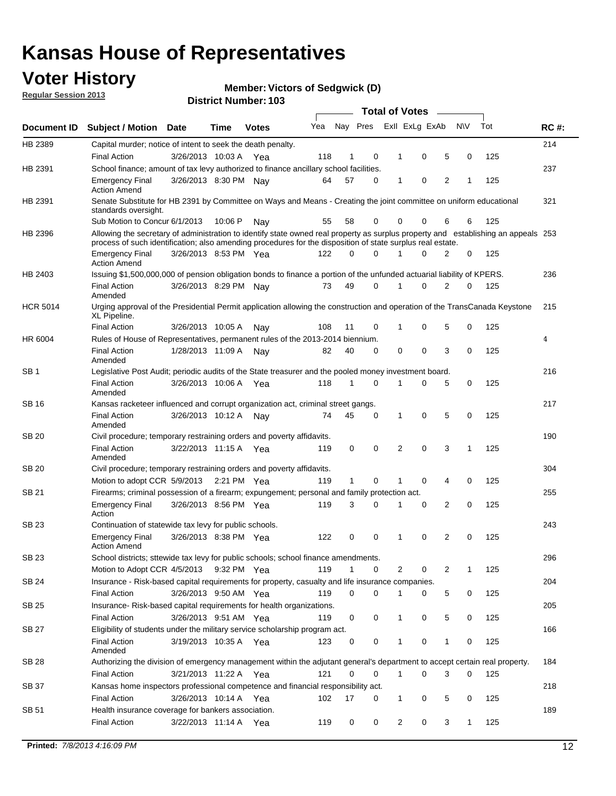## **Voter History**

**Member: Victors of Sedgwick (D)** 

**Regular Session 2013**

|                 |                                                                                                                                                                                                                                                  |                       |         |              |     |              |          | <b>Total of Votes</b> |   |   |              |     |             |
|-----------------|--------------------------------------------------------------------------------------------------------------------------------------------------------------------------------------------------------------------------------------------------|-----------------------|---------|--------------|-----|--------------|----------|-----------------------|---|---|--------------|-----|-------------|
| Document ID     | Subject / Motion Date                                                                                                                                                                                                                            |                       | Time    | <b>Votes</b> | Yea | Nay Pres     |          | Exll ExLg ExAb        |   |   | <b>NV</b>    | Tot | <b>RC#:</b> |
| HB 2389         | Capital murder; notice of intent to seek the death penalty.                                                                                                                                                                                      |                       |         |              |     |              |          |                       |   |   |              |     | 214         |
|                 | <b>Final Action</b>                                                                                                                                                                                                                              | 3/26/2013 10:03 A     |         | Yea          | 118 | 1            | 0        | 1                     | 0 | 5 | 0            | 125 |             |
| HB 2391         | School finance; amount of tax levy authorized to finance ancillary school facilities.                                                                                                                                                            |                       |         |              |     |              |          |                       |   |   |              |     | 237         |
|                 | <b>Emergency Final</b><br><b>Action Amend</b>                                                                                                                                                                                                    | 3/26/2013 8:30 PM Nav |         |              | 64  | 57           | 0        | 1                     | 0 | 2 | 1            | 125 |             |
| HB 2391         | Senate Substitute for HB 2391 by Committee on Ways and Means - Creating the joint committee on uniform educational<br>standards oversight.                                                                                                       |                       |         |              |     |              |          |                       |   |   |              |     | 321         |
|                 | Sub Motion to Concur 6/1/2013                                                                                                                                                                                                                    |                       | 10:06 P | Nav          | 55  | 58           | 0        | 0                     | 0 | 6 | 6            | 125 |             |
| HB 2396         | Allowing the secretary of administration to identify state owned real property as surplus property and establishing an appeals 253<br>process of such identification; also amending procedures for the disposition of state surplus real estate. |                       |         |              |     |              |          |                       |   |   |              |     |             |
|                 | <b>Emergency Final</b><br>Action Amend                                                                                                                                                                                                           | 3/26/2013 8:53 PM Yea |         |              | 122 | 0            | 0        |                       | 0 | 2 | 0            | 125 |             |
| HB 2403         | Issuing \$1,500,000,000 of pension obligation bonds to finance a portion of the unfunded actuarial liability of KPERS.                                                                                                                           |                       |         |              |     |              |          |                       |   |   |              |     | 236         |
|                 | <b>Final Action</b><br>Amended                                                                                                                                                                                                                   | 3/26/2013 8:29 PM Nay |         |              | 73  | 49           | 0        | 1                     | 0 | 2 | 0            | 125 |             |
| <b>HCR 5014</b> | Urging approval of the Presidential Permit application allowing the construction and operation of the TransCanada Keystone<br>XL Pipeline.                                                                                                       |                       |         |              |     |              |          |                       |   |   |              |     | 215         |
|                 | <b>Final Action</b>                                                                                                                                                                                                                              | 3/26/2013 10:05 A     |         | Nav          | 108 | 11           | 0        |                       | 0 | 5 | 0            | 125 |             |
| HR 6004         | Rules of House of Representatives, permanent rules of the 2013-2014 biennium.                                                                                                                                                                    |                       |         |              |     |              |          |                       |   |   |              |     | 4           |
|                 | <b>Final Action</b><br>Amended                                                                                                                                                                                                                   | 1/28/2013 11:09 A     |         | Nav          | 82  | 40           | 0        | 0                     | 0 | 3 | 0            | 125 |             |
| SB 1            | Legislative Post Audit; periodic audits of the State treasurer and the pooled money investment board.                                                                                                                                            |                       |         |              |     |              |          |                       |   |   |              |     | 216         |
|                 | <b>Final Action</b><br>Amended                                                                                                                                                                                                                   | 3/26/2013 10:06 A     |         | Yea          | 118 | 1            | 0        | 1                     | 0 | 5 | 0            | 125 |             |
| SB 16           | Kansas racketeer influenced and corrupt organization act, criminal street gangs.                                                                                                                                                                 |                       |         |              |     |              |          |                       |   |   |              |     | 217         |
|                 | <b>Final Action</b><br>Amended                                                                                                                                                                                                                   | 3/26/2013 10:12 A     |         | Nav          | 74  | 45           | 0        | 1                     | 0 | 5 | 0            | 125 |             |
| SB 20           | Civil procedure; temporary restraining orders and poverty affidavits.                                                                                                                                                                            |                       |         |              |     |              |          |                       |   |   |              |     | 190         |
|                 | <b>Final Action</b><br>Amended                                                                                                                                                                                                                   | 3/22/2013 11:15 A     |         | Yea          | 119 | 0            | 0        | 2                     | 0 | 3 | $\mathbf{1}$ | 125 |             |
| SB 20           | Civil procedure; temporary restraining orders and poverty affidavits.                                                                                                                                                                            |                       |         |              |     |              |          |                       |   |   |              |     | 304         |
|                 | Motion to adopt CCR 5/9/2013                                                                                                                                                                                                                     |                       |         | 2:21 PM Yea  | 119 | $\mathbf{1}$ | 0        | 1                     | 0 | 4 | 0            | 125 |             |
| SB 21           | Firearms; criminal possession of a firearm; expungement; personal and family protection act.                                                                                                                                                     |                       |         |              |     |              |          |                       |   |   |              |     | 255         |
|                 | <b>Emergency Final</b><br>Action                                                                                                                                                                                                                 | 3/26/2013 8:56 PM Yea |         |              | 119 | 3            | 0        |                       | 0 | 2 | 0            | 125 |             |
| SB 23           | Continuation of statewide tax levy for public schools.                                                                                                                                                                                           |                       |         |              |     |              |          |                       |   |   |              |     | 243         |
|                 | <b>Emergency Final</b><br><b>Action Amend</b>                                                                                                                                                                                                    | 3/26/2013 8:38 PM Yea |         |              | 122 | 0            | 0        | 1                     | 0 | 2 | 0            | 125 |             |
| <b>SB 23</b>    | School districts; sttewide tax levy for public schools; school finance amendments                                                                                                                                                                |                       |         |              |     |              |          |                       |   |   |              |     | 296         |
|                 | Motion to Adopt CCR 4/5/2013 9:32 PM Yea                                                                                                                                                                                                         |                       |         |              | 119 | 1            | 0        | 2                     | 0 | 2 | 1            | 125 |             |
| <b>SB 24</b>    | Insurance - Risk-based capital requirements for property, casualty and life insurance companies.                                                                                                                                                 |                       |         |              |     |              |          |                       |   |   |              |     | 204         |
|                 | <b>Final Action</b>                                                                                                                                                                                                                              | 3/26/2013 9:50 AM Yea |         |              | 119 | 0            | 0        |                       | 0 | 5 | 0            | 125 |             |
| SB 25           | Insurance-Risk-based capital requirements for health organizations.                                                                                                                                                                              |                       |         |              |     |              |          |                       |   |   |              |     | 205         |
|                 | <b>Final Action</b>                                                                                                                                                                                                                              | 3/26/2013 9:51 AM Yea |         |              | 119 | 0            | 0        | 1                     | 0 | 5 | 0            | 125 |             |
| SB 27           | Eligibility of students under the military service scholarship program act.                                                                                                                                                                      |                       |         |              |     |              |          |                       |   |   |              |     | 166         |
|                 | <b>Final Action</b><br>Amended                                                                                                                                                                                                                   | 3/19/2013 10:35 A Yea |         |              | 123 | 0            | 0        |                       | 0 | 1 | 0            | 125 |             |
| SB 28           | Authorizing the division of emergency management within the adjutant general's department to accept certain real property.                                                                                                                       |                       |         |              |     |              |          |                       |   |   |              |     | 184         |
|                 | <b>Final Action</b>                                                                                                                                                                                                                              | 3/21/2013 11:22 A Yea |         |              | 121 | 0            | $\Omega$ | 1                     | 0 | 3 | $\Omega$     | 125 |             |
| SB 37           | Kansas home inspectors professional competence and financial responsibility act.                                                                                                                                                                 |                       |         |              |     |              |          |                       |   |   |              |     | 218         |
|                 | <b>Final Action</b>                                                                                                                                                                                                                              | 3/26/2013 10:14 A Yea |         |              | 102 | 17           | 0        | 1                     | 0 | 5 | 0            | 125 |             |
| SB 51           | Health insurance coverage for bankers association.                                                                                                                                                                                               |                       |         |              |     |              |          |                       |   |   |              |     | 189         |
|                 | <b>Final Action</b>                                                                                                                                                                                                                              | 3/22/2013 11:14 A Yea |         |              | 119 | 0            | 0        | 2                     | 0 | 3 | $\mathbf{1}$ | 125 |             |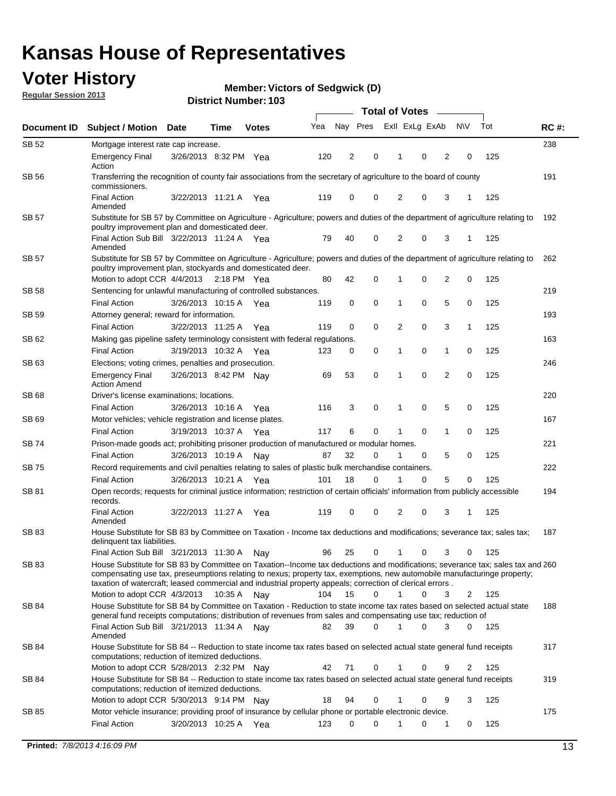## **Voter History**

**Member: Victors of Sedgwick (D)** 

**Regular Session 2013**

|              |                                                                                                                                                                                                                                                                                                                                                                                                         |                       |             |              |     | <b>Total of Votes</b> |             |                |   |                |             |     |             |  |
|--------------|---------------------------------------------------------------------------------------------------------------------------------------------------------------------------------------------------------------------------------------------------------------------------------------------------------------------------------------------------------------------------------------------------------|-----------------------|-------------|--------------|-----|-----------------------|-------------|----------------|---|----------------|-------------|-----|-------------|--|
| Document ID  | <b>Subject / Motion Date</b>                                                                                                                                                                                                                                                                                                                                                                            |                       | Time        | <b>Votes</b> | Yea | Nay Pres              |             | Exll ExLg ExAb |   |                | <b>NV</b>   | Tot | <b>RC#:</b> |  |
| SB 52        | Mortgage interest rate cap increase.                                                                                                                                                                                                                                                                                                                                                                    |                       |             |              |     |                       |             |                |   |                |             |     | 238         |  |
|              | <b>Emergency Final</b><br>Action                                                                                                                                                                                                                                                                                                                                                                        | 3/26/2013 8:32 PM Yea |             |              | 120 | 2                     | 0           |                | 0 | 2              | 0           | 125 |             |  |
| SB 56        | Transferring the recognition of county fair associations from the secretary of agriculture to the board of county<br>commissioners.                                                                                                                                                                                                                                                                     |                       |             |              |     |                       |             |                |   |                |             |     | 191         |  |
|              | <b>Final Action</b><br>Amended                                                                                                                                                                                                                                                                                                                                                                          | 3/22/2013 11:21 A     |             | Yea          | 119 | 0                     | 0           | 2              | 0 | 3              | 1           | 125 |             |  |
| SB 57        | Substitute for SB 57 by Committee on Agriculture - Agriculture; powers and duties of the department of agriculture relating to<br>poultry improvement plan and domesticated deer.                                                                                                                                                                                                                       |                       |             |              |     |                       |             |                |   |                |             |     | 192         |  |
|              | Final Action Sub Bill 3/22/2013 11:24 A Yea<br>Amended                                                                                                                                                                                                                                                                                                                                                  |                       |             |              | 79  | 40                    | 0           | 2              | 0 | 3              | 1           | 125 |             |  |
| SB 57        | Substitute for SB 57 by Committee on Agriculture - Agriculture; powers and duties of the department of agriculture relating to<br>poultry improvement plan, stockyards and domesticated deer.<br>Motion to adopt CCR 4/4/2013 2:18 PM Yea                                                                                                                                                               |                       |             |              | 80  | 42                    | 0           | 1              | 0 | 2              | 0           | 125 | 262         |  |
| SB 58        |                                                                                                                                                                                                                                                                                                                                                                                                         |                       |             |              |     |                       |             |                |   |                |             |     | 219         |  |
|              | Sentencing for unlawful manufacturing of controlled substances.<br><b>Final Action</b>                                                                                                                                                                                                                                                                                                                  | 3/26/2013 10:15 A     |             |              | 119 | 0                     | 0           | 1              | 0 | 5              | 0           | 125 |             |  |
| <b>SB 59</b> | Attorney general; reward for information.                                                                                                                                                                                                                                                                                                                                                               |                       |             | Yea          |     |                       |             |                |   |                |             |     | 193         |  |
|              |                                                                                                                                                                                                                                                                                                                                                                                                         |                       |             |              |     |                       | 0           |                | 0 |                |             |     |             |  |
|              | <b>Final Action</b>                                                                                                                                                                                                                                                                                                                                                                                     | 3/22/2013 11:25 A     |             | Yea          | 119 | 0                     |             | 2              |   | 3              | 1           | 125 |             |  |
| SB 62        | Making gas pipeline safety terminology consistent with federal regulations.                                                                                                                                                                                                                                                                                                                             |                       |             |              |     |                       |             |                |   |                |             |     | 163         |  |
|              | <b>Final Action</b>                                                                                                                                                                                                                                                                                                                                                                                     | 3/19/2013 10:32 A     |             | Yea          | 123 | 0                     | 0           | 1              | 0 | 1              | 0           | 125 |             |  |
| SB 63        | Elections; voting crimes, penalties and prosecution.<br><b>Emergency Final</b><br><b>Action Amend</b>                                                                                                                                                                                                                                                                                                   | 3/26/2013 8:42 PM Nay |             |              | 69  | 53                    | $\mathbf 0$ | 1              | 0 | $\overline{2}$ | $\mathbf 0$ | 125 | 246         |  |
| SB 68        | Driver's license examinations; locations.                                                                                                                                                                                                                                                                                                                                                               |                       |             |              |     |                       |             |                |   |                |             |     | 220         |  |
|              | <b>Final Action</b>                                                                                                                                                                                                                                                                                                                                                                                     | 3/26/2013 10:16 A     |             | Yea          | 116 | 3                     | 0           | 1              | 0 | 5              | 0           | 125 |             |  |
| SB 69        | Motor vehicles; vehicle registration and license plates.                                                                                                                                                                                                                                                                                                                                                |                       |             |              |     |                       |             |                |   |                |             |     | 167         |  |
|              | <b>Final Action</b>                                                                                                                                                                                                                                                                                                                                                                                     | 3/19/2013 10:37 A     |             | Yea          | 117 | 6                     | 0           | 1              | 0 | $\mathbf{1}$   | 0           | 125 |             |  |
| SB 74        | Prison-made goods act; prohibiting prisoner production of manufactured or modular homes.                                                                                                                                                                                                                                                                                                                |                       |             |              |     |                       |             |                |   |                |             |     | 221         |  |
|              | <b>Final Action</b>                                                                                                                                                                                                                                                                                                                                                                                     | 3/26/2013 10:19 A     |             | Nay          | 87  | 32                    | 0           | 1              | 0 | 5              | 0           | 125 |             |  |
| SB 75        | Record requirements and civil penalties relating to sales of plastic bulk merchandise containers.                                                                                                                                                                                                                                                                                                       |                       |             |              |     |                       |             |                |   |                |             |     | 222         |  |
|              | <b>Final Action</b>                                                                                                                                                                                                                                                                                                                                                                                     | 3/26/2013 10:21 A     |             | Yea          | 101 | 18                    | 0           | 1              | 0 | 5              | 0           | 125 |             |  |
| SB 81        | Open records; requests for criminal justice information; restriction of certain officials' information from publicly accessible<br>records.                                                                                                                                                                                                                                                             |                       |             |              |     |                       |             |                |   |                |             |     | 194         |  |
|              | <b>Final Action</b><br>Amended                                                                                                                                                                                                                                                                                                                                                                          | 3/22/2013 11:27 A     |             | Yea          | 119 | 0                     | 0           | 2              | 0 | 3              |             | 125 |             |  |
| <b>SB83</b>  | House Substitute for SB 83 by Committee on Taxation - Income tax deductions and modifications; severance tax; sales tax;<br>delinquent tax liabilities.                                                                                                                                                                                                                                                 |                       |             |              |     |                       |             |                |   |                |             |     | 187         |  |
|              | Final Action Sub Bill 3/21/2013 11:30 A                                                                                                                                                                                                                                                                                                                                                                 |                       |             | Nav          | 96  | 25                    | 0           | 1              | 0 | 3              | 0           | 125 |             |  |
| SB 83        | House Substitute for SB 83 by Committee on Taxation--Income tax deductions and modifications; severance tax; sales tax and 260<br>compensating use tax, preseumptions relating to nexus; property tax, exemptions, new automobile manufacturinge property;<br>taxation of watercraft; leased commercial and industrial property appeals; correction of clerical errors.<br>Motion to adopt CCR 4/3/2013 |                       | 10:35 A Nay |              | 104 | 15                    | 0           | $\mathbf{1}$   | 0 | 3              | 2           | 125 |             |  |
| SB 84        | House Substitute for SB 84 by Committee on Taxation - Reduction to state income tax rates based on selected actual state                                                                                                                                                                                                                                                                                |                       |             |              |     |                       |             |                |   |                |             |     | 188         |  |
|              | general fund receipts computations; distribution of revenues from sales and compensating use tax; reduction of<br>Final Action Sub Bill 3/21/2013 11:34 A Nay                                                                                                                                                                                                                                           |                       |             |              | 82  | 39                    | $\Omega$    |                | 0 | 3              | $\Omega$    | 125 |             |  |
| SB 84        | Amended<br>House Substitute for SB 84 -- Reduction to state income tax rates based on selected actual state general fund receipts                                                                                                                                                                                                                                                                       |                       |             |              |     |                       |             |                |   |                |             |     | 317         |  |
|              | computations; reduction of itemized deductions.<br>Motion to adopt CCR 5/28/2013 2:32 PM Nav                                                                                                                                                                                                                                                                                                            |                       |             |              | 42  | 71                    | 0           |                | 0 | 9              | 2           | 125 |             |  |
| SB 84        | House Substitute for SB 84 -- Reduction to state income tax rates based on selected actual state general fund receipts                                                                                                                                                                                                                                                                                  |                       |             |              |     |                       |             |                |   |                |             |     | 319         |  |
|              | computations; reduction of itemized deductions.<br>Motion to adopt CCR 5/30/2013 9:14 PM Nay                                                                                                                                                                                                                                                                                                            |                       |             |              | 18  | 94                    | 0           |                | 0 | 9              | 3           | 125 |             |  |
| SB 85        | Motor vehicle insurance; providing proof of insurance by cellular phone or portable electronic device.                                                                                                                                                                                                                                                                                                  |                       |             |              |     |                       |             |                |   |                |             |     | 175         |  |
|              | <b>Final Action</b>                                                                                                                                                                                                                                                                                                                                                                                     | 3/20/2013 10:25 A Yea |             |              | 123 | 0                     | $\Omega$    |                | 0 | 1              | 0           | 125 |             |  |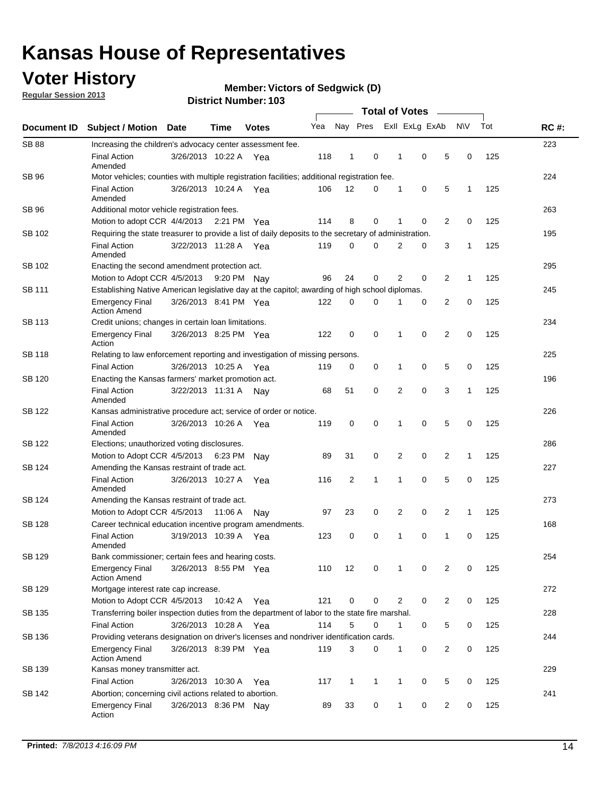## **Voter History**

**Regular Session 2013**

#### **Member: Victors of Sedgwick (D)**

|                    |                                                                                                       | טטו דיסעוווואנו זעוווסוע |             | <b>Total of Votes</b> |     |              |              |  |                |                |                |              |     |             |
|--------------------|-------------------------------------------------------------------------------------------------------|--------------------------|-------------|-----------------------|-----|--------------|--------------|--|----------------|----------------|----------------|--------------|-----|-------------|
| <b>Document ID</b> | <b>Subject / Motion</b>                                                                               | <b>Date</b>              | <b>Time</b> | <b>Votes</b>          | Yea |              | Nay Pres     |  |                | Exll ExLg ExAb |                | <b>NV</b>    | Tot | <b>RC#:</b> |
| <b>SB 88</b>       | Increasing the children's advocacy center assessment fee.                                             |                          |             |                       |     |              |              |  |                |                |                |              |     | 223         |
|                    | <b>Final Action</b><br>Amended                                                                        | 3/26/2013 10:22 A Yea    |             |                       | 118 | $\mathbf{1}$ | 0            |  | $\mathbf 1$    | 0              | 5              | 0            | 125 |             |
| SB 96              | Motor vehicles; counties with multiple registration facilities; additional registration fee.          |                          |             |                       |     |              |              |  |                |                |                |              |     | 224         |
|                    | <b>Final Action</b><br>Amended                                                                        | 3/26/2013 10:24 A        |             | Yea                   | 106 | 12           | 0            |  | 1              | 0              | 5              | 1            | 125 |             |
| SB 96              | Additional motor vehicle registration fees.                                                           |                          |             |                       |     |              |              |  |                |                |                |              |     | 263         |
|                    | Motion to adopt CCR 4/4/2013                                                                          |                          | 2:21 PM Yea |                       | 114 | 8            | 0            |  | 1              | 0              | $\overline{2}$ | 0            | 125 |             |
| SB 102             | Requiring the state treasurer to provide a list of daily deposits to the secretary of administration. |                          |             |                       |     |              |              |  |                |                |                |              |     | 195         |
|                    | <b>Final Action</b><br>Amended                                                                        | 3/22/2013 11:28 A        |             | Yea                   | 119 | 0            | 0            |  | 2              | 0              | 3              | 1            | 125 |             |
| SB 102             | Enacting the second amendment protection act.                                                         |                          |             |                       |     |              |              |  |                |                |                |              |     | 295         |
|                    | Motion to Adopt CCR 4/5/2013                                                                          |                          | 9:20 PM Nay |                       | 96  | 24           | 0            |  | $\overline{2}$ | 0              | $\overline{2}$ | 1            | 125 |             |
| SB 111             | Establishing Native American legislative day at the capitol; awarding of high school diplomas.        |                          |             |                       |     |              |              |  |                |                |                |              |     | 245         |
|                    | <b>Emergency Final</b><br><b>Action Amend</b>                                                         | 3/26/2013 8:41 PM Yea    |             |                       | 122 | 0            | $\Omega$     |  |                | 0              | 2              | 0            | 125 |             |
| SB 113             | Credit unions; changes in certain loan limitations.                                                   |                          |             |                       |     |              |              |  |                |                |                |              |     | 234         |
|                    | <b>Emergency Final</b><br>Action                                                                      | 3/26/2013 8:25 PM Yea    |             |                       | 122 | 0            | 0            |  | 1              | $\mathbf 0$    | $\overline{2}$ | $\mathbf 0$  | 125 |             |
| <b>SB 118</b>      | Relating to law enforcement reporting and investigation of missing persons.                           |                          |             |                       |     |              |              |  |                |                |                |              |     | 225         |
|                    | <b>Final Action</b>                                                                                   | 3/26/2013 10:25 A        |             | Yea                   | 119 | 0            | 0            |  | 1              | 0              | 5              | 0            | 125 |             |
| SB 120             | Enacting the Kansas farmers' market promotion act.                                                    |                          |             |                       |     |              |              |  |                |                |                |              |     | 196         |
|                    | <b>Final Action</b><br>Amended                                                                        | 3/22/2013 11:31 A        |             | Nav                   | 68  | 51           | 0            |  | 2              | $\mathbf 0$    | 3              | 1            | 125 |             |
| SB 122             | Kansas administrative procedure act; service of order or notice.                                      |                          |             |                       |     |              |              |  |                |                |                |              |     | 226         |
|                    | <b>Final Action</b><br>Amended                                                                        | 3/26/2013 10:26 A        |             | Yea                   | 119 | 0            | 0            |  | 1              | 0              | 5              | 0            | 125 |             |
| SB 122             | Elections; unauthorized voting disclosures.                                                           |                          |             |                       |     |              |              |  |                |                |                |              | 286 |             |
|                    | Motion to Adopt CCR 4/5/2013                                                                          |                          | 6:23 PM     | Nav                   | 89  | 31           | 0            |  | 2              | 0              | $\overline{2}$ | $\mathbf{1}$ | 125 |             |
| SB 124             | Amending the Kansas restraint of trade act.                                                           |                          |             |                       |     |              |              |  |                |                |                |              |     | 227         |
|                    | <b>Final Action</b><br>Amended                                                                        | 3/26/2013 10:27 A        |             | Yea                   | 116 | 2            | 1            |  | 1              | $\mathbf 0$    | 5              | $\mathbf 0$  | 125 |             |
| SB 124             | Amending the Kansas restraint of trade act.                                                           |                          |             |                       |     |              |              |  |                |                |                |              |     | 273         |
|                    | Motion to Adopt CCR 4/5/2013                                                                          |                          | 11:06 A     | Nav                   | 97  | 23           | 0            |  | 2              | 0              | 2              | 1            | 125 |             |
| <b>SB 128</b>      | Career technical education incentive program amendments.                                              |                          |             |                       |     |              |              |  |                |                |                |              |     | 168         |
|                    | <b>Final Action</b><br>Amended                                                                        | 3/19/2013 10:39 A        |             | Yea                   | 123 | 0            | 0            |  | 1              | 0              | 1              | 0            | 125 |             |
| SB 129             | Bank commissioner; certain fees and hearing costs.                                                    |                          |             |                       |     |              |              |  |                |                |                |              |     | 254         |
|                    | <b>Emergency Final</b><br><b>Action Amend</b>                                                         | 3/26/2013 8:55 PM Yea    |             |                       | 110 | 12           | 0            |  | 1              | 0              | 2              | 0            | 125 |             |
| SB 129             | Mortgage interest rate cap increase.                                                                  |                          |             |                       |     |              |              |  |                |                |                |              |     | 272         |
|                    | Motion to Adopt CCR 4/5/2013                                                                          |                          | 10:42 A Yea |                       | 121 | 0            | 0            |  | 2              | 0              | $\overline{2}$ | 0            | 125 |             |
| SB 135             | Transferring boiler inspection duties from the department of labor to the state fire marshal.         |                          |             |                       |     |              |              |  |                |                |                |              |     | 228         |
|                    | <b>Final Action</b>                                                                                   | 3/26/2013 10:28 A Yea    |             |                       | 114 | 5            | 0            |  | $\mathbf{1}$   | 0              | 5              | 0            | 125 |             |
| SB 136             | Providing veterans designation on driver's licenses and nondriver identification cards.               |                          |             |                       |     |              |              |  |                |                |                |              |     | 244         |
|                    | <b>Emergency Final</b><br><b>Action Amend</b>                                                         | 3/26/2013 8:39 PM Yea    |             |                       | 119 | 3            | 0            |  | $\mathbf{1}$   | 0              | $\overline{2}$ | 0            | 125 |             |
| SB 139             | Kansas money transmitter act.                                                                         |                          |             |                       |     |              |              |  |                |                |                |              |     | 229         |
|                    | <b>Final Action</b>                                                                                   | 3/26/2013 10:30 A Yea    |             |                       | 117 | $\mathbf{1}$ | $\mathbf{1}$ |  | $\mathbf{1}$   | $\mathbf 0$    | 5              | 0            | 125 |             |
| SB 142             | Abortion; concerning civil actions related to abortion.                                               |                          |             |                       |     |              |              |  |                |                |                |              |     | 241         |
|                    | <b>Emergency Final</b><br>Action                                                                      | 3/26/2013 8:36 PM Nay    |             |                       | 89  | 33           | 0            |  | 1              | 0              | $\overline{2}$ | 0            | 125 |             |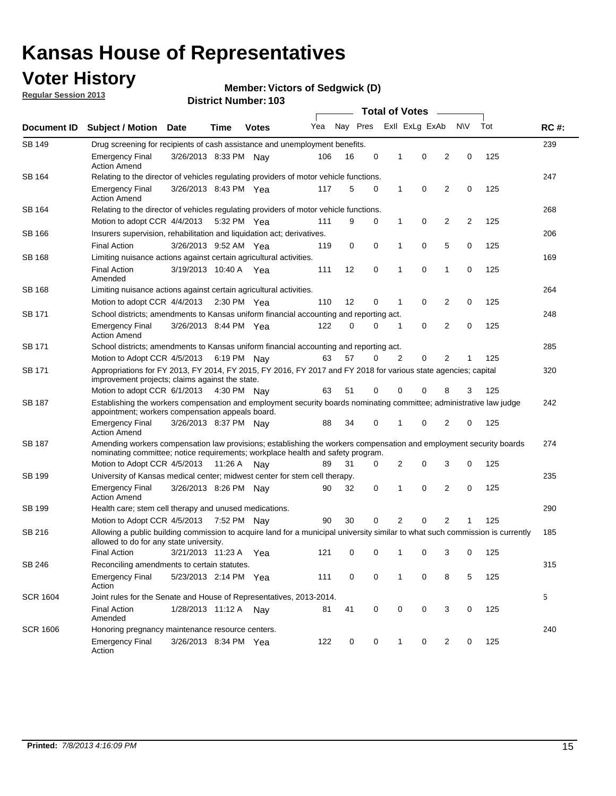## **Voter History**

**Member: Victors of Sedgwick (D)** 

**Regular Session 2013**

| Document ID     |                                                                                                                                                                                                       |                                                                                        |                                                                               |              |     |          | <b>Total of Votes</b> |              |                |                |     |     | <b>RC#:</b> |  |  |  |  |  |  |
|-----------------|-------------------------------------------------------------------------------------------------------------------------------------------------------------------------------------------------------|----------------------------------------------------------------------------------------|-------------------------------------------------------------------------------|--------------|-----|----------|-----------------------|--------------|----------------|----------------|-----|-----|-------------|--|--|--|--|--|--|
|                 | <b>Subject / Motion</b>                                                                                                                                                                               | Date                                                                                   | Time                                                                          | <b>Votes</b> | Yea | Nay Pres |                       |              | Exll ExLg ExAb |                | N\V | Tot |             |  |  |  |  |  |  |
| <b>SB 149</b>   |                                                                                                                                                                                                       | 239<br>Drug screening for recipients of cash assistance and unemployment benefits.     |                                                                               |              |     |          |                       |              |                |                |     |     |             |  |  |  |  |  |  |
|                 | <b>Emergency Final</b><br><b>Action Amend</b>                                                                                                                                                         | 3/26/2013 8:33 PM Nav                                                                  |                                                                               |              | 106 | 16       | 0                     | 1            | 0              | 2              | 0   | 125 |             |  |  |  |  |  |  |
| SB 164          | Relating to the director of vehicles regulating providers of motor vehicle functions.                                                                                                                 |                                                                                        |                                                                               |              |     |          |                       |              |                |                |     |     | 247         |  |  |  |  |  |  |
|                 | <b>Emergency Final</b><br><b>Action Amend</b>                                                                                                                                                         | 3/26/2013 8:43 PM Yea                                                                  |                                                                               |              | 117 | 5        | 0                     | 1            | 0              | 2              | 0   | 125 |             |  |  |  |  |  |  |
| SB 164          | Relating to the director of vehicles regulating providers of motor vehicle functions.                                                                                                                 |                                                                                        |                                                                               |              |     |          |                       |              |                |                |     |     | 268         |  |  |  |  |  |  |
|                 | Motion to adopt CCR 4/4/2013 5:32 PM Yea                                                                                                                                                              |                                                                                        |                                                                               |              | 111 | 9        | 0                     | $\mathbf{1}$ | 0              | 2              | 2   | 125 |             |  |  |  |  |  |  |
| SB 166          |                                                                                                                                                                                                       |                                                                                        | 206<br>Insurers supervision, rehabilitation and liquidation act; derivatives. |              |     |          |                       |              |                |                |     |     |             |  |  |  |  |  |  |
|                 | <b>Final Action</b>                                                                                                                                                                                   | 3/26/2013 9:52 AM Yea                                                                  |                                                                               |              | 119 | 0        | 0                     | 1            | 0              | 5              | 0   | 125 |             |  |  |  |  |  |  |
| <b>SB 168</b>   | Limiting nuisance actions against certain agricultural activities.                                                                                                                                    |                                                                                        |                                                                               |              |     |          |                       |              |                |                |     |     | 169         |  |  |  |  |  |  |
|                 | <b>Final Action</b><br>Amended                                                                                                                                                                        | 3/19/2013 10:40 A Yea                                                                  |                                                                               |              | 111 | 12       | 0                     | 1            | $\mathbf 0$    | 1              | 0   | 125 |             |  |  |  |  |  |  |
| SB 168          | Limiting nuisance actions against certain agricultural activities.                                                                                                                                    |                                                                                        |                                                                               |              |     |          |                       |              |                |                |     |     | 264         |  |  |  |  |  |  |
|                 | Motion to adopt CCR 4/4/2013                                                                                                                                                                          |                                                                                        | 2:30 PM Yea                                                                   |              | 110 | 12       | 0                     | 1            | 0              | 2              | 0   | 125 |             |  |  |  |  |  |  |
| SB 171          | School districts; amendments to Kansas uniform financial accounting and reporting act.                                                                                                                |                                                                                        |                                                                               |              |     |          |                       |              |                |                |     |     | 248         |  |  |  |  |  |  |
|                 | <b>Emergency Final</b><br><b>Action Amend</b>                                                                                                                                                         | 3/26/2013 8:44 PM Yea                                                                  |                                                                               |              | 122 | 0        | 0                     | 1            | 0              | 2              | 0   | 125 |             |  |  |  |  |  |  |
| SB 171          |                                                                                                                                                                                                       | School districts; amendments to Kansas uniform financial accounting and reporting act. |                                                                               |              |     |          |                       |              |                |                |     |     | 285         |  |  |  |  |  |  |
|                 | Motion to Adopt CCR 4/5/2013 6:19 PM Nay                                                                                                                                                              |                                                                                        |                                                                               |              | 63  | 57       | 0                     | 2            | 0              | 2              | 1   | 125 |             |  |  |  |  |  |  |
| SB 171          | Appropriations for FY 2013, FY 2014, FY 2015, FY 2016, FY 2017 and FY 2018 for various state agencies; capital<br>improvement projects; claims against the state.                                     |                                                                                        |                                                                               |              |     |          |                       |              |                |                |     | 320 |             |  |  |  |  |  |  |
|                 | Motion to adopt CCR 6/1/2013 4:30 PM Nay                                                                                                                                                              |                                                                                        |                                                                               |              | 63  | 51       | 0                     | 0            | 0              | 8              | 3   | 125 |             |  |  |  |  |  |  |
| SB 187          | Establishing the workers compensation and employment security boards nominating committee; administrative law judge<br>appointment; workers compensation appeals board.                               |                                                                                        |                                                                               |              |     |          |                       |              |                |                |     |     | 242         |  |  |  |  |  |  |
|                 | <b>Emergency Final</b><br><b>Action Amend</b>                                                                                                                                                         | 3/26/2013 8:37 PM Nay                                                                  |                                                                               |              | 88  | 34       | 0                     | 1            | 0              | 2              | 0   | 125 |             |  |  |  |  |  |  |
| SB 187          | Amending workers compensation law provisions; establishing the workers compensation and employment security boards<br>nominating committee; notice requirements; workplace health and safety program. |                                                                                        |                                                                               |              |     |          |                       |              |                |                |     |     | 274         |  |  |  |  |  |  |
|                 | Motion to Adopt CCR 4/5/2013 11:26 A Nav                                                                                                                                                              |                                                                                        |                                                                               |              | 89  | 31       | 0                     | 2            | 0              | 3              | 0   | 125 |             |  |  |  |  |  |  |
| SB 199          |                                                                                                                                                                                                       | University of Kansas medical center; midwest center for stem cell therapy.             |                                                                               |              |     |          |                       |              |                |                |     |     | 235         |  |  |  |  |  |  |
|                 | <b>Emergency Final</b><br><b>Action Amend</b>                                                                                                                                                         | 3/26/2013 8:26 PM Nav                                                                  |                                                                               |              | 90  | 32       | 0                     | 1            | 0              | 2              | 0   | 125 |             |  |  |  |  |  |  |
| SB 199          | Health care; stem cell therapy and unused medications.                                                                                                                                                |                                                                                        |                                                                               |              |     |          |                       |              |                |                |     |     | 290         |  |  |  |  |  |  |
|                 | Motion to Adopt CCR 4/5/2013 7:52 PM Nay                                                                                                                                                              |                                                                                        |                                                                               |              | 90  | 30       | 0                     | 2            | 0              | $\overline{2}$ | 1   | 125 |             |  |  |  |  |  |  |
| SB 216          | Allowing a public building commission to acquire land for a municipal university similar to what such commission is currently<br>allowed to do for any state university.                              |                                                                                        |                                                                               |              |     |          |                       |              |                |                |     |     | 185         |  |  |  |  |  |  |
|                 | <b>Final Action</b>                                                                                                                                                                                   | 3/21/2013 11:23 A                                                                      |                                                                               | Yea          | 121 | 0        | 0                     | 1            | 0              | 3              | 0   | 125 |             |  |  |  |  |  |  |
| SB 246          | Reconciling amendments to certain statutes.                                                                                                                                                           |                                                                                        |                                                                               |              |     |          |                       |              |                |                |     |     | 315         |  |  |  |  |  |  |
|                 | <b>Emergency Final</b><br>Action                                                                                                                                                                      | 5/23/2013 2:14 PM Yea                                                                  |                                                                               |              | 111 | 0        | 0                     | 1            | 0              | 8              | 5   | 125 |             |  |  |  |  |  |  |
| <b>SCR 1604</b> | Joint rules for the Senate and House of Representatives, 2013-2014.                                                                                                                                   |                                                                                        |                                                                               |              |     |          |                       |              |                |                |     |     | 5           |  |  |  |  |  |  |
|                 | <b>Final Action</b><br>Amended                                                                                                                                                                        | 1/28/2013 11:12 A Nay                                                                  |                                                                               |              | 81  | 41       | 0                     | 0            | 0              | 3              | 0   | 125 |             |  |  |  |  |  |  |
| <b>SCR 1606</b> | Honoring pregnancy maintenance resource centers.                                                                                                                                                      |                                                                                        |                                                                               |              |     |          |                       |              |                |                |     |     | 240         |  |  |  |  |  |  |
|                 | <b>Emergency Final</b><br>Action                                                                                                                                                                      | 3/26/2013 8:34 PM Yea                                                                  |                                                                               |              | 122 | 0        | 0                     | 1            | 0              | 2              | 0   | 125 |             |  |  |  |  |  |  |